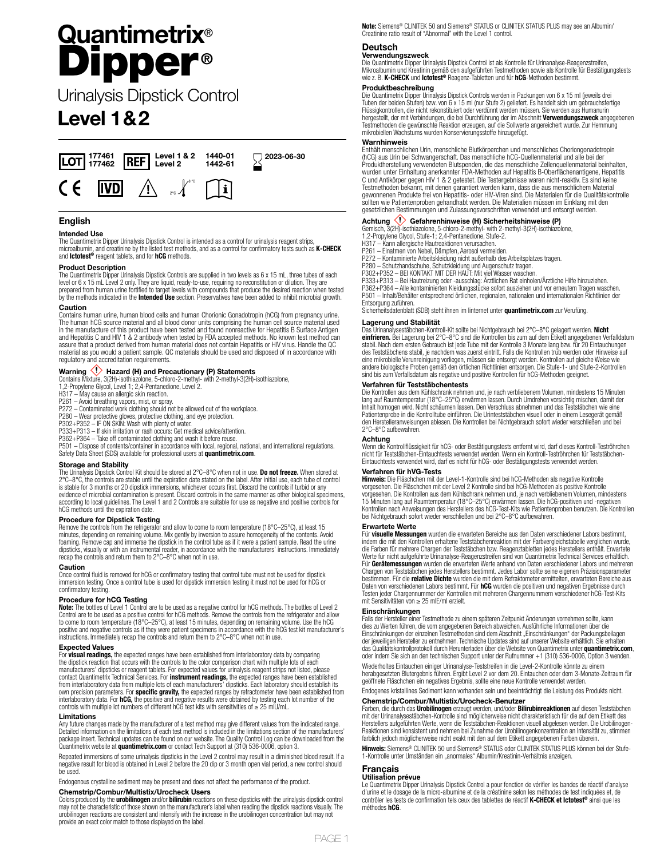# **Quantimetrix**® Dipper **®**

Urinalysis Dipstick Control

# **Level 1&2**



# **English**

### **Intended Use**

The Quantimetrix Dipper Urinalysis Dipstick Control is intended as a control for urinalysis reagent strips, microalbumin, and creatinine by the listed test methods, and as a control for confirmatory tests such as **K-CHECK**  and **Ictotest®** reagent tablets, and for **hCG** methods.

### **Product Description**

The Quantimetrix Dipper Urinalysis Dipstick Controls are supplied in two levels as 6 x 15 mL, three tubes of each level or 6 x 15 mL Level 2 only. They are liquid, ready-to-use, requiring no reconstitution or dilution. They are<br>prepared from human urine fortified to target levels with compounds that produce the desired reaction when t

### **Caution**

Contains human urine, human blood cells and human Chorionic Gonadotropin (hCG) from pregnancy urine. The human hCG source material and all blood donor units comprising the human cell source material used in the manufacture of this product have been tested and found nonreactive for Hepatitis B Surface Antigen and Hepatitis C and HIV 1 & 2 antibody when tested by FDA accepted methods. No known test method can assure that a product derived from human material does not contain Hepatitis or HIV virus. Handle the QC material as you would a patient sample. QC materials should be used and disposed of in accordance with regulatory and accreditation requirements.

**Warning (!) Hazard (H) and Precautionary (P) Statements<br>Contains Mixture, 3(2H)-isothiazolone, 5-chloro-2-methyl-with 2-methyl-3(2H)-isothiazolone,<br>1,2-Propylene Glycol, Level 1; 2,4-Pentanedione, Level 2.** 

- H317 May cause an allergic skin reaction.
- 
- P261 Avoid breathing vapors, mist, or spray. P272 Contaminated work clothing should not be allowed out of the workplace.
- 
- 
- 
- 

P280 – Wear protective gloves, protective clothing, and eye protection.<br>P302+P352 – IF ON SKIN: Wash with plenty of water.<br>P333+P313 – If skin irritation or rash occurs: Get medical advice/attention.<br>P362+P364 – Take off c Safety Data Sheet (SDS) available for professional users at **quantimetrix.com**.

# **Storage and Stability**

The Urinalysis Dipstick Control Kit should be stored at 2°C–8°C when not in use. **Do not freeze.** When stored at<br>2°C–8°C, the controls are stable until the expiration date stated on the label. After initial use, each tube is stable for 3 months or 20 dipstick immersions, whichever occurs first. Discard the controls if turbid or any evidence of microbial contamination is present. Discard controls in the same manner as other biological specimens, according to local guidelines. The Level 1 and 2 Controls are suitable for use as negative and positive controls for hCG methods until the expiration date.

### **Procedure for Dipstick Testing**

Remove the controls from the refrigerator and allow to come to room temperature (18°C–25°C), at least 15 minutes, depending on remaining volume. Mix gently by inversion to assure homogeneity of the contents. Avoid foaming. Remove cap and immerse the dipstick in the control tube as if it were a patient sample. Read the urine<br>dipsticks, visually or with an instrumental reader, in accordance with the manufacturers' instructions. Immedi recap the controls and return them to 2°C–8°C when not in use.

### **Caution**

Once control fluid is removed for hCG or confirmatory testing that control tube must not be used for dipstick immersion testing. Once a control tube is used for dipstick immersion testing it must not be used for hCG or confirmatory testing.

## **Procedure for hCG Testing**

**Note:** The bottles of Level 1 Control are to be used as a negative control for hCG methods. The bottles of Level 2<br>Control are to be used as a positive control for hCG methods. Remove the controls from the refrigerator an to come to room temperature (18°C–25°C), at least 15 minutes, depending on remaining volume. Use the hCG positive and negative controls as if they were patient specimens in accordance with the hCG test kit manufacturer's instructions. Immediately recap the controls and return them to 2°C–8°C when not in use.

# **Expected Values**

For **visual readings,** the expected ranges have been established from interlaboratory data by comparing<br>the dipstick reaction that occurs with the controls to the color comparison chart with multiple lots of each<br>manufactu contact Quantimetrix Technical Services. For **instrument readings,** the expected ranges have been established<br>from interlaboratory data from multiple lots of each manufacturers' dipsticks. Each laboratory should establish interlaboratory data. For **hCG,** the positive and negative results were obtained by testing each lot number of the<br>controls with multiple lot numbers of different hCG test kits with sensitivities of ≥ 25 mIU/mL.

### **Limitations**

Any future changes made by the manufacturer of a test method may give different values from the indicated range.<br>Detailed information on the limitations of each test method is included in the limitations section of the man

Repeated immersions of some urinalysis dipsticks in the Level 2 control may result in a diminished blood result. If a<br>negative result for blood is obtained in Level 2 before the 20 dip or 3 month open vial period, a new co

Endogenous crystalline sediment may be present and does not affect the performance of the product. **Chemstrip/Combur/Multistix/Urocheck Users**

Colors produced by the **urobilinogen** and/or **bilirubin** reactions on these dipsticks with the urinalysis dipstick control<br>may not be characteristic of those shown on the manufacturer's label when reading the dipstick reac urobilinogen reactions are consistent and intensify with the increase in the urobilinogen concentration but may not provide an exact color match to those displayed on the label.

**Note:** Siemens® CLINITEK 50 and Siemens® STATUS or CLINITEK STATUS PLUS may see an Albumin/ Creatinine ratio result of "Abnormal" with the Level 1 control.

# **Deutsch**

**Verwendungszweck** Die Quantimetrix Dipper Urinalysis Dipstick Control ist als Kontrolle für Urinanalyse-Reagenzstreifen, Mikroalbumin und Kreatinin gemäß den aufgeführten Testmethoden sowie als Kontrolle für Bestätigungstests wie z. B. **K-CHECK** und **Ictotest®** Reagenz-Tabletten und für **hCG**-Methoden bestimmt.

**Produktbeschreibung** Die Quantimetrix Dipper Urinalysis Dipstick Controls werden in Packungen von 6 x 15 ml (jeweils drei Tuben der beiden Stufen) bzw. von 6 x 15 ml (nur Stufe 2) geliefert. Es handelt sich um gebrauchsfertige Flüssigkontrollen, die nicht rekonstituiert oder verdünnt werden müssen. Sie werden aus Humanurin hergestellt, der mit Verbindungen, die bei Durchführung der im Abschnitt **Verwendungszweck** angegebenen Testmethoden die gewünschte Reaktion erzeugen, auf die Sollwerte angereichert wurde. Zur Hemmung mikrobiellen Wachstums wurden Konservierungsstoffe hinzugefügt.

### **Warnhinweis**

Enthält menschlichen Urin, menschliche Blutkörperchen und menschliches Choriongonadotropin (hCG) aus Urin bei Schwangerschaft. Das menschliche hCG-Quellenmaterial und alle bei der Produktherstellung verwendeten Blutspenden, die das menschliche Zellenquellenmaterial beinhalten, wurden unter Einhaltung anerkannter FDA-Methoden auf Hepatitis B-Oberflächenantigene, Hepatitis C und Antikörper gegen HIV 1 & 2 getestet. Die Testergebnisse waren nicht-reaktiv. Es sind keine Testmethoden bekannt, mit denen garantiert werden kann, dass die aus menschlichem Material gewonnenen Produkte frei von Hepatitis- oder HIV-Viren sind. Die Materialen für die Qualitätskontrolle sollten wie Patientenproben gehandhabt werden. Die Materialien müssen im Einklang mit den gesetzlichen Bestimmungen und Zulassungsvorschriften verwendet und entsorgt werden.

**Achtung <ゾ Gefahrenhinweise (H) Sicherheitshinweise (P)**<br>Gemisch, 3(2H)-isothiazolone, 5-chloro-2-methyl- with 2-methyl-3(2H)-isothiazolone,<br>1,2-Propylene Glycol, Stufe-1; 2,4-Pentanedione, Stufe-2.<br>H317 – Kann allergisch

- 
- 
- 
- 
- 
- 

P261 – Einatmen von Nebel, Dämpfen, Aerosol vermeiden.<br>P272 – Kontaminierte Arbeitskeleidung nicht außerhalb des Arbeitsplatzes tragen.<br>P280 – Schutzhandschuhe, Schutzkleidung und Augenschutz tragen.<br>P302+P352 – BEI KONTAK Entsorgung zuführen.

Sicherheitsdatenblatt (SDB) steht ihnen im Iinternet unter **quantimetrix.com** zur Verufüng.

# **Lagerung und Stabilität**

Das Urinanalysestäbchen-Kontroll-Kit sollte bei Nichtgebrauch bei 2°C–8°C gelagert werden. **Nicht einfrieren.** Bei Lagerung bei 2°C–8°C sind die Kontrollen bis zum auf dem Etikett angegebenen Verfalldatum stabil. Nach dem ersten Gebrauch ist jede Tube mit der Kontrolle 3 Monate lang bzw. für 20 Eintauchungen<br>des Teststäbchens stabil, je nachdem was zuerst eintritt. Falls die Kontrollen trüb werden oder Hinweise auf eine mikrobielle Verunreinigung vorliegen, müssen sie entsorgt werden. Kontrollen auf gleiche Weise wie<br>andere biologische Proben gemäß den örtlichen Richtlinien entsorgen. Die Stufe-1- und Stufe-2-Kontrollen<br>sind bis zum

### **Verfahren für Teststäbchentests**

Die Kontrollen aus dem Kühlschrank nehmen und, je nach verbliebenem Volumen, mindestens 15 Minuten<br>lang auf Raumtemperatur (18°C–25°C) erwärmen lassen. Durch Umdrehen vorsichtig mischen, damit der<br>Inhalt homogen wird. Nich Patientenprobe in die Kontrolltube einführen. Die Urinteststäbchen visuell oder in einem Lesegerät gemäß den Herstelleranweisungen ablesen. Die Kontrollen bei Nichtgebrauch sofort wieder verschließen und bei 2°C–8°C aufbewahren.

**Achtung** Wenn die Kontrollflüssigkeit für hCG- oder Bestätigungstests entfernt wird, darf dieses Kontroll-Teströhrchen nicht für Teststäbchen-Eintauchtests verwendet werden. Wenn ein Kontroll-Teströhrchen für Teststäbchen-Eintauchtests verwendet wird, darf es nicht für hCG- oder Bestätigungstests verwendet werden.

### **Verfahren für hVG-Tests**

**Hinweis:** Die Fläschchen mit der Level-1-Kontrolle sind bei hCG-Methoden als negative Kontrolle vorgesehen. Die Fläschchen mit der Level 2 Kontrolle sind bei hCG-Methoden als positive Kontrolle vorgesehen. Die Kontrollen aus dem Kühlschrank nehmen und, je nach verbliebenem Volumen, mindestens 15 Minuten lang auf Raumtemperatur (18°C–25°C) erwärmen lassen. Die hCG-positiven und -negativen Kontrollen nach Anweisungen des Herstellers des hCG-Test-Kits wie Patientenproben benutzen. Die Kontrollen bei Nichtgebrauch sofort wieder verschließen und bei 2°C–8°C aufbewahren.

### **Erwartete Werte**

Für **visuelle Messungen** wurden die erwarteten Bereiche aus den Daten verschiedener Labors bestimmt,<br>indem die mit den Kontrollen erhaltene Teststäbchenreaktion mit der Farbvergleichstabelle verglichen wurde,<br>die Farben fü Werte für nicht aufgeführte Urinanalyse-Reagenzstreifen sind von Quantimetrix Technical Services erhältlich. Für **Gerätemessungen** wurden die erwarteten Werte anhand von Daten verschiedener Labors und mehreren Chargen von Teststäbchen jedes Herstellers bestimmt. Jedes Labor sollte seine eigenen Präzisionsparameter bestimmen. Für die **relative Dichte** wurden die mit dem Refraktometer ermittelten, erwarteten Bereiche aus Daten von verschiedenen Labors bestimmt. Für **hCG** wurden die positiven und negativen Ergebnisse durch Testen jeder Chargennummer der Kontrollen mit mehreren Chargennummern verschiedener hCG-Test-Kits mit Sensitivitäten von ≥ 25 mIE/ml erzielt.

# **Einschränkungen**

Falls der Hersteller einer Testmethode zu einem späteren Zeitpunkt Änderungen vornehmen sollte, kann dies zu Werten führen, die vom angegebenen Bereich abweichen. Ausführliche Informationen über die Einschränkungen der einzelnen Testmethoden sind dem Abschnitt "Einschränkungen" der Packungsbeilagen<br>der jeweiligen Hersteller zu entnehmen. Technische Updates sind auf unserer Website erhältlich. Sie erhalten das Qualitätskontrollprotokoll durch Herunterladen über die Website von Quantimetrix unter **quantimetrix.com**, oder indem Sie sich an den technischen Support unter der Rufnummer +1 (310) 536-0006, Option 3 wenden.

Wiederholtes Eintauchen einiger Urinanalyse-Teststreifen in die Level-2-Kontrolle könnte zu einem<br>herabgesetzten Blutergebnis führen. Ergibt Level 2 vor dem 20. Eintauchen oder dem 3-Monate-Zeitraum für<br>geöffnete Fläschche

Endogenes kristallines Sediment kann vorhanden sein und beeinträchtigt die Leistung des Produkts nicht.

### **Chemstrip/Combur/Multistix/Urocheck-Benutzer**

Farben, die durch das **Urobilinogen** erzeugt werden, und/oder **Bilirubinreaktionen** auf diesen Teststäbchen mit der Urinanalysestäbchen-Kontrolle sind möglicherweise nicht charakteristisch für die auf dem Etikett des Herstellers aufgeführten Werte, wenn die Teststäbchen-Reaktionen visuell abgelesen werden. Die Urobilinogen-Reaktionen sind konsistent und nehmen bei Zunahme der Urobilinogenkonzentration an Intensität zu, stimmen<br>farblich jedoch möglicherweise nicht exakt mit den auf dem Etikett angegebenen Farben überein.

**Hinweis:** Siemens® CLINITEK 50 und Siemens® STATUS oder CLINITEK STATUS PLUS können bei der Stufe-1-Kontrolle unter Umständen ein "anormales" Albumin/Kreatinin-Verhältnis anzeigen.

# **Français**

**Utilisation prévue** Le Quantimetrix Dipper Urinalysis Dipstick Control a pour fonction de vérifier les bandes de réactif d'analyse d'urine et le dosage de la micro-albumine et de la créatinine selon les méthodes de test indiquées et, de contrôler les tests de confirmation tels ceux des tablettes de réactif **K-CHECK et Ictotest®** ainsi que les méthodes **hCG**.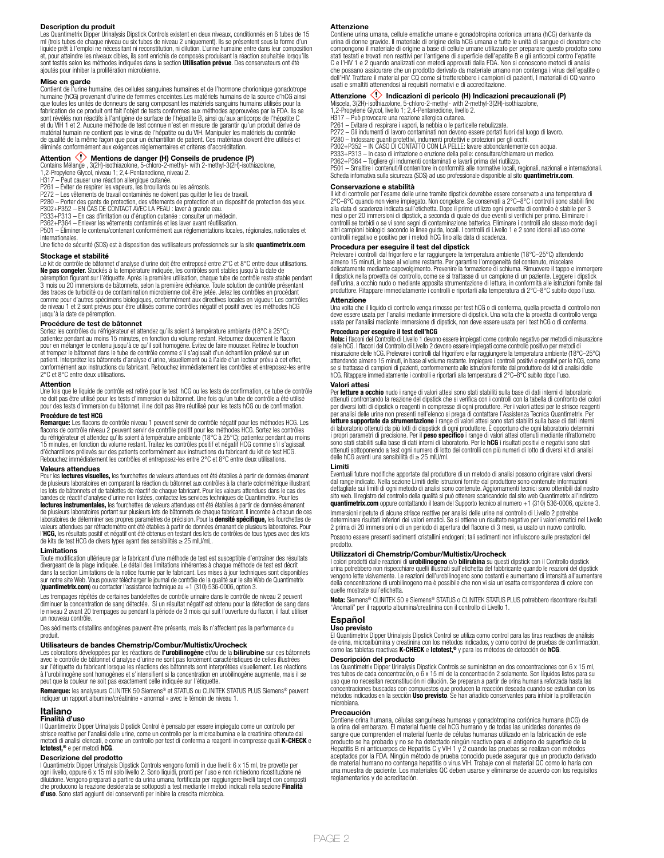### **Description du produit**

Les Quantimetrix Dipper Urinalysis Dipstick Controls existent en deux niveaux, conditionnés en 6 tubes de 15 ml (trois tubes de chaque niveau ou six tubes de niveau 2 uniquement). Ils se présentent sous la forme d'un liquide prêt à l'emploi ne nécessitant ni reconstitution, ni dilution. L'urine humaine entre dans leur composition et, pour atteindre les niveaux cibles, ils sont enrichis de composés produisant la réaction souhaitée lorsqu'ils<br>sont testés selon les méthodes indiquées dans la section **Utilisation prévue**. Des conservateurs ont été ajoutés pour inhiber la prolifération microbienne.

**Mise en garde** Contient de l'urine humaine, des cellules sanguines humaines et de l'hormone chorionique gonadotrope humaine (hCG) provenant d'urine de femmes enceintes.Les matériels humains de la source d'hCG ainsi que toutes les unités de donneurs de sang composant les matériels sanguins humains utilisés pour la fabrication de ce produit ont fait l'objet de tests conformes aux méthodes approuvées par la FDA. Ils se sont révélés non réactifs à l'antigène de surface de l'hépatite B, ainsi qu'aux anticorps de l'hépatite C<br>et du VIH 1 et 2. Aucune méthode de test connue n'est en mesure de garantir qu'un produit dérivé de<br>matérial humain de qualité de la même façon que pour un échantillon de patient. Ces matériaux doivent être utilisés et éliminés conformément aux exigences réglementaires et critères d'accréditation.

**Attention <\*>** Mentions de danger (H) Conseils de prudence (P)<br>Contains Mélange, 3(2H)-isothiazolone, 5-chloro-2-methyl- with 2-methyl-3(2H)-isothiazolone,<br>1,2-Propylene Glycol, niveau 1; 2,4-Pentanedione, niveau 2.<br>H317

P261 – Eviter de respirer les vapeurs, les brouillards ou les aérosols.<br>P272 – Les vêtements de travail contaminés ne doivent pas quitter le lieu de travail.<br>P280 – Porter des gants de protection, des vêtements de protecti

P333+P313 – En cas d'irritation ou d'éruption cutanée : consulter un médecin. P362+P364 – Enlever les vêtements contaminés et les laver avant réutilisation.

P501 – Éliminer le contenu/contenant conformément aux réglementations locales, régionales, nationales et internationales. Une fiche de sécurité (SDS) est à disposition des vutilisateurs professionnels sur la site **quantimetrix.com**.

**Stockage et stabilité**

Le kit de contrôle de bâtonnet d'analyse d'urine doit être entreposé entre 2°C et 8°C entre deux utilisations. **Ne pas congeler.** Stockés à la température indiquée, les contrôles sont stables jusqu'à la date de<br>péremption figurant sur l'étiquette. Après la première utilisation, chaque tube de contrôle reste stable pendant<br>3 mois ou comme pour d'autres spécimens biologiques, conformément aux directives locales en vigueur. Les contrôles de niveau 1 et 2 sont prévus pour être utilisés comme contrôles négatif et positif avec les méthodes hCG jusqu'à la date de péremption.

### **Procédure de test de bâtonnet**

Sortez les contrôles du réfrigérateur et attendez qu'ils soient à température ambiante (18°C à 25°C); patientez pendant au moins 15 minutes, en fonction du volume restant. Retournez doucement le flacon<br>pour en mélanger le contenu jusqu'à ce qu'il soit homogène. Évitez de faire mousser. Retirez le bouchon<br>et trempez le bâto 2°C et 8°C entre deux utilisations.

### **Attention**

Une fois que le liquide de contrôle est retiré pour le test hCG ou les tests de confirmation, ce tube de contrôle<br>ne doit pas être utilisé pour les tests d'immersion du bâtonnet. Une fois qu'un tube de contrôle a été util

# **Procédure de test HCG**

**Remarque:** Les flacons de contrôle niveau 1 peuvent servir de contrôle négatif pour les méthodes HCG. Les flacons de contrôle niveau 2 peuvent servir de contrôle positif pour les méthodes HCG. Sortez les contrôles<br>du réfrigérateur et attendez qu'ils soient à température ambiante (18°C à 25°C); patientez pendant au moins<br>15 min d'échantillons prélevés sur des patients conformément aux instructions du fabricant du kit de test HCG. Rebouchez immédiatement les contrôles et entreposez-les entre 2°C et 8°C entre deux utilisations.

**Valeurs attendues** Pour les **lectures visuelles,** les fourchettes de valeurs attendues ont été établies à partir de données émanant de plusieurs laboratoires en comparant la réaction du bâtonnet aux contrôles à la charte colorimétrique illustrant les lots de bâtonnets et de tablettes de réactif de chaque fabricant. Pour les valeurs attendues dans le cas des bandes de réactif d'analyse d'urine non listées, contactez les services techniques de Quantimetrix. Pour les **lectures instrumentales,** les fourchettes de valeurs attendues ont été établies à partir de données émanant<br>de plusieurs laboratoires portant sur plusieurs lots de bâtonnets de chaque fabricant. Il incombe à chacun de ces l'**HCG,** les résultats positif et négatif ont été obtenus en testant des lots de contrôles de tous types avec des lots<br>de kits de test HCG de divers types ayant des sensibilités ≥ 25 mIU/mL.

### **Limitations**

Toute modification ultérieure par le fabricant d'une méthode de test est susceptible d'entraîner des résultats divergeant de la plage indiquée. Le détail des limitations inhérentes à chaque méthode de test est décrit<br>dans la section Limitations de la notice fournie par le fabricant. Les mises à jour techniques sont disponibles<br>sur

Les trempages répétés de certaines bandelettes de contrôle urinaire dans le contrôle de niveau 2 peuvent<br>diminuer la concentration de sang détectée. Si un résultat négatif est obtenu pour la détection de sang dans<br>le nivea un nouveau contrôle.

Des sédiments cristallins endogènes peuvent être présents, mais ils n'affectent pas la performance du produit.

**Utilisateurs de bandes Chemstrip/Combur/Multistix/Urocheck** Les colorations développées par les réactions de **l'urobilinogène** et/ou de la **bilirubine** sur ces bâtonnets avec le contrôle de bâtonnet d'analyse d'urine ne sont pas forcément caractéristiques de celles illustrées sur l'étiquette du fabricant lorsque les réactions des bâtonnets sont interprétées visuellement. Les réactions à l'urobilinogène sont homogènes et s'intensifient si la concentration en urobilinogène augmente, mais il se peut que la couleur ne soit pas exactement celle indiquée sur l'étiquette.

**Remarque:** les analyseurs CLINITEK 50 Siemens® et STATUS ou CLINITEK STATUS PLUS Siemens® peuvent indiquer un rapport albumine/créatinine « anormal » avec le témoin de niveau 1.

### **Italiano**

**Finalità d'uso** Il Quantimetrix Dipper Urinalysis Dipstick Control è pensato per essere impiegato come un controllo per strisce reattive per l'analisi delle urine, come un controllo per la microalbumina e la creatinina ottenute dai<br>metodi di analisi elencati, e come un controllo per test di conferma a reagenti in compresse quali **K-CHECK** e **Ictotest,®** e per metodi **hCG**.

# **Descrizione del prodotto**

I Quantimetrix Dipper Urinalysis Dipstick Controls vengono forniti in due livelli: 6 x 15 ml, tre provette per ogni livello, oppure 6 x 15 ml solo livello 2. Sono liquidi, pronti per l'uso e non richiedono ricostituzione né diluizione. Vengono preparati a partire da urina umana, fortificata per raggiungere livelli target con composti<br>che producono la reazione desiderata se sottoposti a test mediante i metodi indicati nella sezione **Finalità**<br>

### **Attenzione**

Contiene urina umana, cellule ematiche umane e gonadotropina corionica umana (hCG) derivante da urina di donne gravide. Il materiale di origine della hCG umana e tutte le unità di sangue di donatore che compongono il materiale di origine a base di cellule umane utilizzato per preparare questo prodotto sono stati testati e trovati non reattivi per l'antigene di superficie dell'epatite B e gli anticorpi contro l'epatite C e l'HIV 1 e 2 quando analizzati con metodi approvati dalla FDA. Non si conoscono metodi di analisi che possano assicurare che un prodotto derivato da materiale umano non contenga i virus dell'epatite o dell'HIV. Trattare il material per CQ come si tratterebbero i campioni di pazienti, I materiali di CQ vanno usati e smaltiti attenendosi ai requisiti normativi e di accreditazione.

# **Attenzione <V> Indicazioni di pericolo (H) Indicazioni precauzionali (P)**<br>Miscela, 3(2H)-isothiazolone, 5-chloro-2-methyl- with 2-methyl-3(2H)-isothiazolone,<br>1,2-Propylene Glycol, livello 1; 2,4-Pentanedione, livello 2.<br>H

- P261 Evitare di respirare i vapori, la nebbia o le particelle nebulizzate.
- P272 Gli indumenti di lavoro contaminati non devono essere portati fuori dal luogo di lavoro.
- P280 Indossare guanti protettivi, indumenti protettivi e protezioni per gli occhi. P302+P352 IN CASO DI CONTATTO CON LA PELLE: lavare abbondantemente con acqua.
- 
- P333+P313 In caso di irritazione o eruzione della pelle: consultare/chiamare un medico. P362+P364 Togliere gli indumenti contaminati e lavarli prima del riutilizzo.

P501 – Smaltire i contenuti/il contenitore in conformità alle normative locali, regionali, nazionali e internazionali. Scheda infomativa sulla sicurezza (SDS) ad uso professionale disponible al sito **quantimetrix.com**.

### **Conservazione e stabilità**

Il kit di controllo per l'esame delle urine tramite dipstick dovrebbe essere conservato a una temperatura di 2°C–8°C quando non viene impiegato. Non congelare. Se conservati a 2°C–8°C i controlli sono stabili fino alla data di scadenza indicata sull'etichetta. Dopo il primo utilizzo ogni provetta di controllo è stabile per 3 mesi o per 20 immersioni di dipstick, a seconda di quale dei due eventi si verifichi per primo. Eliminare i controlli se torbidi o se vi sono segni di contaminazione batterica. Eliminare i controlli allo stesso modo degli altri campioni biologici secondo le linee guida, locali. I controlli di Livello 1 e 2 sono idonei all'uso come controlli negativo e positivo per i metodi hCG fino alla data di scadenza.

# **Procedura per eseguire il test del dipstick**

Prelevare i controlli dal frigorifero e far raggiungere la temperatura ambiente (18°C–25°C) attendendo<br>almeno 15 minuti, in base al volume restante. Per garantire l'omogeneità del contenuto, miscelare<br>delicatamente mediant il dipstick nella provetta del controllo, come se si trattasse di un campione di un paziente. Leggere i dipstick<br>dell'urina, a occhio nudo o mediante apposita strumentazione di lettura, in conformità alle istruzioni fornit produttore. Ritappare immediatamente i controlli e riportarli alla temperatura di 2°C–8°C subito dopo l'uso.

# **Attenzione**

Una volta che il liquido di controllo venga rimosso per test hCG o di conferma, quella provetta di controllo non deve essere usata per l'analisi mediante immersione di dipstick. Una volta che la provetta di controllo venga usata per l'analisi mediante immersione di dipstick, non deve essere usata per i test hCG o di conferma.

# **Procedura per eseguire il test dell'hCG**

**Nota:** i flaconi del Controllo di Livello 1 devono essere impiegati come controllo negativo per metodi di misurazione<br>delle hCG. I flaconi del Controllo di Livello 2 devono essere impiegati come controllo positivo per met misurazione delle hCG. Prelevare i controlli dal frigorifero e far raggiungere la temperatura ambiente (18°C–25°C)<br>attendendo almeno 15 minuti, in base al volume restante. Impiegare i controlli positivi e negativi per le h se si trattasse di campioni di pazienti, conformemente alle istruzioni fornite dal produttore del kit di analisi delle<br>hCG. Ritappare immediatamente i controlli e riportarli alla temperatura di 2°C–8°C subito dopo l'uso.

### **Valori attesi**

Per **letture a occhio** nudo i range di valori attesi sono stati stabiliti sulla base di dati interni di laboratorio ottenuti confrontando la reazione del dipstick che si verifica con i controlli con la tabella di confronto dei colori<br>per diversi lotti di dipstick o reagenti in compresse di ogni produttore. Per i valori attesi per le str per analisi delle urine non presenti nell'elenco si prega di contattare l'Assistenza Tecnica Quantimetrix. Per<br>letture supportate da strumentazione i range di valori attesi sono stati stabiliti sulla base di dati interni **letture supportate da strumentazione** i range di valori attesi sono stati stabiliti sulla base di dati interni<br>di laboratorio ottenuti da più lotti di dispstick di ogni produttore. È opportuno che ogni laboratorio determ

### **Limiti**

Eventuali future modifiche apportate dal produttore di un metodo di analisi possono originare valori diversi dal range indicato. Nella sezione Limiti delle istruzioni fornite dal produttore sono contenute informazioni dettagliate sui limiti di ogni metodo di analisi sono contenute. Aggiornamenti tecnici sono ottenibili dal nostro<br>sito web. Il registro del controllo della qualità si può ottenere scaricandolo dal sito web Quantimetrix all **quantimetrix.com** oppure contattando il team del Supporto tecnico al numero +1 (310) 536-0006, opzione 3.

Immersioni ripetute di alcune strisce reattive per analisi delle urine nel controllo di Livello 2 potrebbe determinare risultati inferiori dei valori ematici. Se si ottiene un risultato negativo per i valori ematici nel Livello<br>2 prima di 20 immersioni o di un periodo di apertura del flacone di 3 mesi, va usato un nuovo control Possono essere presenti sedimenti cristallini endogeni; tali sedimenti non influiscono sulle prestazioni del prodotto.

**Utilizzatori di Chemstrip/Combur/Multistix/Urocheck**<br>I colori prodotti dalle reazioni di **urobilinogeno** e/o **bilirubina** su questi dipstick con il Controllo dipstick<br>urina potrebbero non rispecchiare quelli illustrati su vengono lette visivamente. Le reazioni dell'urobilinogeno sono costanti e aumentano di intensità all'aumentare della concentrazione di urobilinogeno ma è possibile che non vi sia un'esatta corrispondenza di colore con quelle mostrate sull'etichetta.

**Nota:** Siemens® CLINITEK 50 e Siemens® STATUS o CLINITEK STATUS PLUS potrebbero riscontrare risultati "Anomali" per il rapporto albumina/creatinina con il controllo di Livello 1.

# **Español**

**Uso previsto** El Quantimetrix Dipper Urinalysis Dipstick Control se utiliza como control para las tiras reactivas de análisis de orina, microalbúmina y creatinina con los métodos indicados, y como control de pruebas de confirmación, como las tabletas reactivas **K-CHECK** e **Ictotest,®** y para los métodos de detección de **hCG**.

### **Descripción del producto**

Los Quantimetrix Dipper Urinalysis Dipstick Controls se suministran en dos concentraciones con 6 x 15 ml, tres tubos de cada concentración, o 6 x 15 ml de la concentración 2 solamente. Son líquidos listos para su uso que no necesitan reconstitución ni dilución. Se preparan a partir de orina humana reforzada hasta las concentraciones buscadas con compuestos que producen la reacción deseada cuando se estudian con los métodos indicados en la sección **Uso previsto**. Se han añadido conservantes para inhibir la proliferación microbiana.

# **Precaución**

Contiene orina humana, células sanguíneas humanas y gonadotropina coriónica humana (hCG) de<br>la orina del embarazo. El material fuente del hCG humano y de todas las unidades donantes de<br>sangre que comprenden el material fue reglamentarios y de acreditación.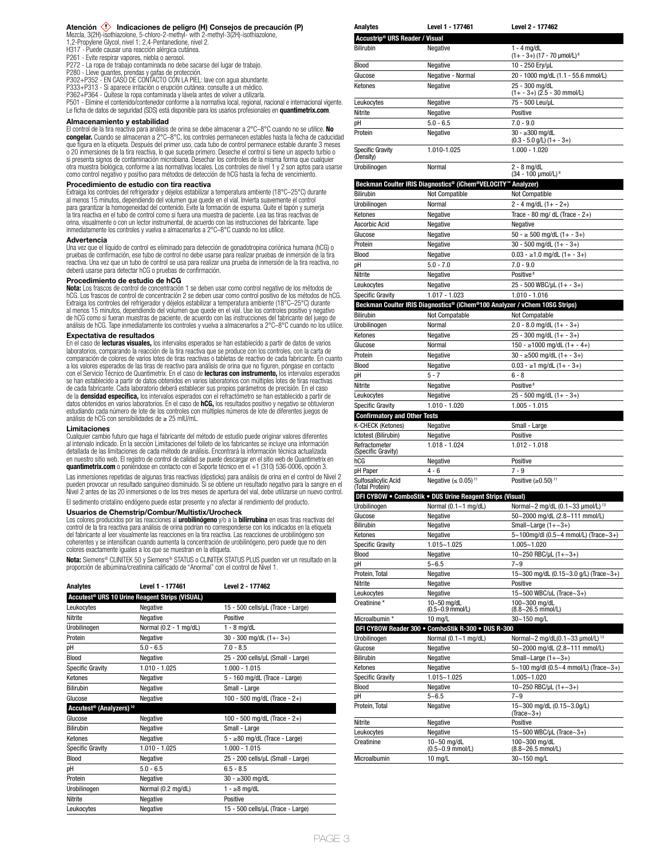# Atención **(1)** Indicaciones de peligro (H) Consejos de precaución (P)

Mezcla, 3(2H)-isothiazolone, 5-chloro-2-methyl- with 2-methyl-3(2H)-isothiazolone, 1,2-Propylene Glycol, nivel 1; 2,4-Pentanedione, nivel 2.

- H317 Puede causar una reacción alérgica cutánea.
- P261 Evite respirar vapores, niebla o aerosol.
- P272 La ropa de trabajo contaminada no debe sacarse del lugar de trabajo. P280 Lleve guantes, prendas y gafas de protección.
- 
- P302+P352 EN CASO DE CONTACTO CON LA PIEL: lave con agua abundante.<br>P333+P313 Si aparece irritación o erupción cutánea: consulte a un médico.<br>P362+P364 Quitese la ropa contaminada y lávela antes de volver a utilizarl
- 
- P501 Elimine el contenido/contenedor conforme a la normativa local, regional, nacional e internacional vigente.

Le ficha de datos de seguridad (SDS) está disponible para los usarios profesionales en **quantimetrix.com**.

# **Almacenamiento y estabilidad**

El control de la tira reactiva para análisis de orina se debe almacenar a 2°C–8°C cuando no se utilice. **No congelar.** Cuando se almacenan a 2°C–8°C, los controles permanecen estables hasta la fecha de caducidad que figura en la etiqueta. Después del primer uso, cada tubo de control permanece estable durante 3 meses o 20 inmersiones de la tira reactiva, lo que suceda primero. Deseche el control si tiene un aspecto turbio o si presenta signos de contaminación microbiana. Desechar los controles de la misma forma que cualquier otra muestra biológica, conforme a las normativas locales. Los controles de nivel 1 y 2 son aptos para usarse como control negativo y positivo para métodos de detección de hCG hasta la fecha de vencimiento.

# **Procedimiento de estudio con tira reactiva**

Extraiga los controles del refrigerador y déjelos estabilizar a temperatura ambiente (18°C–25°C) durante al menos 15 minutos, dependiendo del volumen que quede en el vial. Invierta suavemente el control para garantizar la homogeneidad del contenido. Evite la formación de espuma. Quite el tapón y sumerja la tira reactiva en el tubo de control como si fuera una muestra de paciente. Lea las tiras reactivas de orina, visualmente o con un lector instrumental, de acuerdo con las instrucciones del fabricante. Tape inmediatamente los controles y vuelva a almacenarlos a 2°C–8°C cuando no los utilice.

# **Advertencia**

Una vez que el líquido de control es eliminado para detección de gonadotropina coriónica humana (hCG) o pruebas de confirmación, ese tubo de control no debe usarse para realizar pruebas de inmersión de la tira reactiva. Una vez que un tubo de control se usa para realizar una prueba de inmersión de la tira reactiva, no deberá usarse para detectar hCG o pruebas de confirmación.

# **Procedimiento de estudio de hCG**

**Nota:** Los frascos de control de concentración 1 se deben usar como control negativo de los métodos de hCG. Los frascos de control de concentración 2 se deben usar como control positivo de los métodos de hCG. Extraiga los controles del refrigerador y déjelos estabilizar a temperatura ambiente (18°C–25°C) durante al menos 15 minutos, dependiendo del volumen que quede en el vial. Use los controles positivo y negativo de hCG como si fueran muestras de paciente, de acuerdo con las instrucciones del fabricante del juego de análisis de hCG. Tape inmediatamente los controles y vuelva a almacenarlos a 2°C–8°C cuando no los utilice.

### **Expectativa de resultados**

En el caso de **lecturas visuales,** los intervalos esperados se han establecido a partir de datos de varios laboratorios, comparando la reacción de la tira reactiva que se produce con los controles, con la carta de comparación de colores de varios lotes de tiras reactivas o tabletas de reactivo de cada fabricante. En cuanto a los valores esperados de las tiras de reactivo para análisis de orina que no figuren, póngase en contacto con el Servicio Técnico de Quantimetrix. En el caso de **lecturas con instrumento,** los intervalos esperados<br>se han establecido a partir de datos obtenidos en varios laboratorios con múltiples lotes de tiras reactivas de cada fabricante. Cada laboratorio deberá establecer sus propios parámetros de precisión. En el caso de la **densidad específica,** los intervalos esperados con el refractómetro se han establecido a partir de<br>datos obtenidos en varios laboratorios. En el caso de **hCG,** los resultados positivo y negativo se obtuvieron estudiando cada número de lote de los controles con múltiples números de lote de diferentes juegos de análisis de hCG con sensibilidades de ≥ 25 mIU/mL.

### **Limitaciones**

Cualquier cambio futuro que haga el fabricante del método de estudio puede originar valores diferentes al intervalo indicado. En la sección Limitaciones del folleto de los fabricantes se incluye una información detallada de las limitaciones de cada método de análisis. Encontrará la información técnica actualizada en nuestro sitio web. El registro de control de calidad se puede descargar en el sitio web de Quantimetrix en **quantimetrix.com** o poniéndose en contacto con el Soporte técnico en el +1 (310) 536-0006, opción 3.

Las inmersiones repetidas de algunas tiras reactivas (dipsticks) para análisis de orina en el control de Nivel 2 pueden provocar un resultado sanguíneo disminuido. Si se obtiene un resultado negativo para la sangre en el Nivel 2 antes de las 20 inmersiones o de los tres meses de apertura del vial, debe utilizarse un nuevo control. El sedimento cristalino endógeno puede estar presente y no afectar al rendimiento del producto.

### **Usuarios de Chemstrip/Combur/Multistix/Urocheck**

Los colores producidos por las reacciones al **urobilinógeno** y/o a la **bilirrubina** en esas tiras reactivas del<br>control de la tira reactiva para análisis de orina podrían no corresponderse con los indicados en la etiqueta del fabricante al leer visualmente las reacciones en la tira reactiva. Las reacciones de urobilinógeno son coherentes y se intensifican cuando aumenta la concentración de urobilinógeno, pero puede que no den colores exactamente iguales a los que se muestran en la etiqueta.

**Nota:** Siemens® CLINITEK 50 y Siemens® STATUS o CLINITEK STATUS PLUS pueden ver un resultado en la proporción de albúmina/creatinina calificado de "Anormal" con el control de Nivel 1.

| Analytes                                                   | Level 1 - 177461       | Level 2 - 177462                    |  |
|------------------------------------------------------------|------------------------|-------------------------------------|--|
| Accutest <sup>®</sup> URS 10 Urine Reagent Strips (VISUAL) |                        |                                     |  |
| Leukocytes                                                 | Negative               | 15 - 500 cells/uL (Trace - Large)   |  |
| Nitrite                                                    | Negative               | Positive                            |  |
| Urobilinogen                                               | Normal (0.2 - 1 mg/dL) | $1 - 8$ mg/dL                       |  |
| Protein                                                    | Negative               | $30 - 300$ mg/dL $(1 + - 3 +)$      |  |
| рH                                                         | $5.0 - 6.5$            | $7.0 - 8.5$                         |  |
| <b>Blood</b>                                               | Negative               | 25 - 200 cells/uL (Small - Large)   |  |
| <b>Specific Gravity</b>                                    | $1.010 - 1.025$        | $1.000 - 1.015$                     |  |
| Ketones                                                    | Negative               | 5 - 160 mg/dL (Trace - Large)       |  |
| <b>Bilirubin</b>                                           | Negative               | Small - Large                       |  |
| Glucose                                                    | Negative               | 100 - 500 mg/dL (Trace - $2+$ )     |  |
| Accutest <sup>®</sup> (Analyzers) <sup>10</sup>            |                        |                                     |  |
| Glucose                                                    | Negative               | 100 - 500 mg/dL (Trace - 2+)        |  |
| <b>Bilirubin</b>                                           | Negative               | Small - Large                       |  |
| Ketones                                                    | Negative               | $5 - \geq 80$ mg/dL (Trace - Large) |  |
| <b>Specific Gravity</b>                                    | $1.010 - 1.025$        | $1.000 - 1.015$                     |  |
| <b>Blood</b>                                               | Negative               | 25 - 200 cells/uL (Small - Large)   |  |
| рH                                                         | $5.0 - 6.5$            | $6.5 - 8.5$                         |  |
| Protein                                                    | Negative               | $30 - 300$ mg/dL                    |  |
| Urobilinogen                                               | Normal (0.2 mg/dL)     | $1 - \geq 8$ mg/dL                  |  |
| Nitrite                                                    | Negative               | Positive                            |  |
| Leukocytes                                                 | Negative               | 15 - 500 cells/uL (Trace - Large)   |  |
|                                                            |                        |                                     |  |

| Accustrip <sup>®</sup> URS Reader / Visual                                                  |                                                                                               |                                                                               |  |
|---------------------------------------------------------------------------------------------|-----------------------------------------------------------------------------------------------|-------------------------------------------------------------------------------|--|
| <b>Bilirubin</b>                                                                            | Negative                                                                                      | $1 - 4$ mg/dL                                                                 |  |
| Blood                                                                                       | Negative                                                                                      | $(1 + -3+)$ (17 - 70 µmol/L) <sup>8</sup><br>10 - 250 Ery/uL                  |  |
| Glucose                                                                                     | Negative - Normal                                                                             | 20 - 1000 mg/dL (1.1 - 55.6 mmol/L)                                           |  |
| Ketones                                                                                     | Negative                                                                                      | 25 - 300 mg/dL                                                                |  |
|                                                                                             |                                                                                               | $(1 + -3 +)$ $(2.5 - 30$ mmol/L)                                              |  |
| Leukocytes                                                                                  | Negative                                                                                      | 75 - 500 Leu/uL                                                               |  |
| Nitrite                                                                                     | Negative                                                                                      | Positive                                                                      |  |
| рH                                                                                          | $5.0 - 6.5$                                                                                   | $7.0 - 9.0$                                                                   |  |
| Protein                                                                                     | Negative                                                                                      | $30 - \geq 300 \text{ mg/dL}$<br>$(0.3 - 5.0$ g/L) $(1 + -3+)$                |  |
| <b>Specific Gravity</b><br>(Density)                                                        | 1.010-1.025                                                                                   | $1.000 - 1.020$                                                               |  |
| Urobilinogen                                                                                | Normal                                                                                        | $2 - 8$ ma/dL<br>(34 - 100 µmol/L) <sup>8</sup>                               |  |
|                                                                                             | Beckman Coulter IRIS Diagnostics® (iChem®VELOCITY™ Analyzer)                                  |                                                                               |  |
| Bilirubin                                                                                   | <b>Not Compatible</b>                                                                         | <b>Not Compatible</b>                                                         |  |
| Urobilinogen                                                                                | Normal                                                                                        | $2 - 4$ mg/dL $(1 + - 2+)$                                                    |  |
| Ketones                                                                                     | Negative                                                                                      | Trace - 80 mg/ dL (Trace - $2+$ )                                             |  |
| Ascorbic Acid                                                                               | Negative                                                                                      | Negative                                                                      |  |
| Glucose                                                                                     | Negative                                                                                      | $50 - \ge 500$ mg/dL $(1 + -3+)$                                              |  |
| Protein                                                                                     | Negative                                                                                      | $30 - 500$ mg/dL $(1 + - 3)$                                                  |  |
| Blood                                                                                       | Negative                                                                                      | $0.03 - \ge 1.0$ mg/dL $(1 + -3+)$                                            |  |
| рH                                                                                          | $5.0 - 7.0$                                                                                   | $7.0 - 9.0$                                                                   |  |
| Nitrite                                                                                     | Negative                                                                                      | Positive <sup>8</sup>                                                         |  |
| Leukocytes                                                                                  | Negative                                                                                      | 25 - 500 WBC/µL (1+ - 3+)                                                     |  |
| <b>Specific Gravity</b>                                                                     | $1.017 - 1.023$<br>Beckman Coulter IRIS Diagnostics® (iChem®100 Analyzer / vChem 10SG Strips) | $1.010 - 1.016$                                                               |  |
| Bilirubin                                                                                   | Not Compatable                                                                                | Not Compatable                                                                |  |
| Urobilinogen                                                                                | Normal                                                                                        | $2.0 - 8.0$ mg/dL $(1 + - 3+)$                                                |  |
| Ketones                                                                                     | Negative                                                                                      | $25 - 300$ mg/dL $(1 + - 3 +)$                                                |  |
| Glucose                                                                                     | Normal                                                                                        | $150 - \ge 1000$ mg/dL $(1 + - 4+)$                                           |  |
| Protein                                                                                     | Negative                                                                                      | $30 - \ge 500$ mg/dL $(1 + -3+)$                                              |  |
| Blood                                                                                       | Negative                                                                                      | $0.03 - \ge 1$ mg/dL $(1 + -3+)$                                              |  |
| рH                                                                                          | $5 - 7$                                                                                       | $6 - 8$                                                                       |  |
| Nitrite                                                                                     | Negative                                                                                      | Positive <sup>8</sup>                                                         |  |
| Leukocytes                                                                                  | Negative                                                                                      | $25 - 500$ mg/dL $(1 + - 3+)$                                                 |  |
| <b>Specific Gravity</b>                                                                     | 1.010 - 1.020                                                                                 | $1.005 - 1.015$                                                               |  |
| <b>Confirmatory and Other Tests</b>                                                         |                                                                                               |                                                                               |  |
| K-CHECK (Ketones)<br>Ictotest (Bilirubin)                                                   | Negative<br>Negative                                                                          | Small - Large<br>Positive                                                     |  |
|                                                                                             |                                                                                               |                                                                               |  |
|                                                                                             |                                                                                               |                                                                               |  |
|                                                                                             | 1.018 - 1.024                                                                                 | $1.012 - 1.018$                                                               |  |
| Refractometer<br>(Specific Gravity)<br>hCG                                                  | Negative                                                                                      | Positive                                                                      |  |
| pH Paper                                                                                    | $4 - 6$                                                                                       | $7 - 9$                                                                       |  |
| Sulfosalicylic Acid<br>(Total Protein)                                                      | Negative (≤ 0.05) <sup>11</sup>                                                               | Positive $(≥0.50)$ <sup>11</sup>                                              |  |
|                                                                                             | DFI CYBOW . ComboStik . DUS Urine Reagent Strips (Visual)                                     |                                                                               |  |
| Urobilinogen                                                                                | Normal $(0.1 - 1$ mg/dL)                                                                      | Normal~2 mg/dL (0.1~33 µmol/L) <sup>13</sup>                                  |  |
| Glucose                                                                                     | Negative                                                                                      | 50~2000 mg/dL (2.8~111 mmol/L)                                                |  |
|                                                                                             | Negative                                                                                      | Small~Large $(1+-3+)$                                                         |  |
| Bilirubin<br>Ketones                                                                        | Negative                                                                                      | 5~100mg/dl (0.5~4 mmol/L) (Trace~3+)                                          |  |
| <b>Specific Gravity</b>                                                                     | 1.015~1.025                                                                                   | $1.005 - 1.020$                                                               |  |
| Blood                                                                                       | Negative                                                                                      | 10~250 RBC/µL (1+~3+)                                                         |  |
| рH                                                                                          | $5 - 6.5$                                                                                     | $7 - 9$                                                                       |  |
| Protein, Total<br>Nitrite                                                                   | Negative<br>Negative                                                                          | 15~300 mg/dL (0.15~3.0 g/L) (Trace~3+)<br>Positive                            |  |
| Leukocytes                                                                                  | Negative                                                                                      | 15~500 WBC/uL (Trace~3+)                                                      |  |
| Creatinine *                                                                                | 10~50 mg/dL                                                                                   | 100~300 mg/dL                                                                 |  |
|                                                                                             | $(0.5 - 0.9$ mmol/L)                                                                          | $(8.8 - 26.5$ mmol/L)                                                         |  |
| Microalbumin *                                                                              | 10 mg/L                                                                                       | 30~150 mg/L                                                                   |  |
|                                                                                             | DFI CYBOW Reader 300 . ComboStik R-300 . DUS R-300                                            |                                                                               |  |
| Urobilinogen<br>Glucose                                                                     | Normal $(0.1 - 1$ mg/dL)<br>Negative                                                          | Normal~2 mg/dL(0.1~33 µmol/L) <sup>13</sup><br>50~2000 mg/dL (2.8~111 mmol/L) |  |
|                                                                                             | Negative                                                                                      | Small~Large $(1+-3+)$                                                         |  |
|                                                                                             | Negative                                                                                      | 5~100 mg/dl (0.5~4 mmol/L) (Trace~3+)                                         |  |
|                                                                                             | 1.015~1.025                                                                                   | $1.005 - 1.020$                                                               |  |
|                                                                                             | Negative                                                                                      | 10~250 RBC/µL $(1+-3+)$                                                       |  |
|                                                                                             | $5 - 6.5$                                                                                     | $7 - 9$                                                                       |  |
|                                                                                             | Negative                                                                                      | 15~300 mg/dL (0.15~3.0g/L)                                                    |  |
| Bilirubin<br>Ketones<br><b>Specific Gravity</b><br>Blood<br>рH<br>Protein, Total<br>Nitrite | Negative                                                                                      | $(Trace-3+)$<br>Positive                                                      |  |
| Leukocytes                                                                                  | Negative                                                                                      | 15~500 WBC/µL (Trace~3+)                                                      |  |
| Creatinine                                                                                  | 10~50 mg/dL                                                                                   | 100~300 mg/dL                                                                 |  |
| Microalbumin                                                                                | $(0.5 - 0.9$ mmol/L)<br>10 mg/L                                                               | $(8.8 - 26.5$ mmol/L)<br>30~150 mg/L                                          |  |

**Analytes Level 1 - 177461 Level 2 - 177462**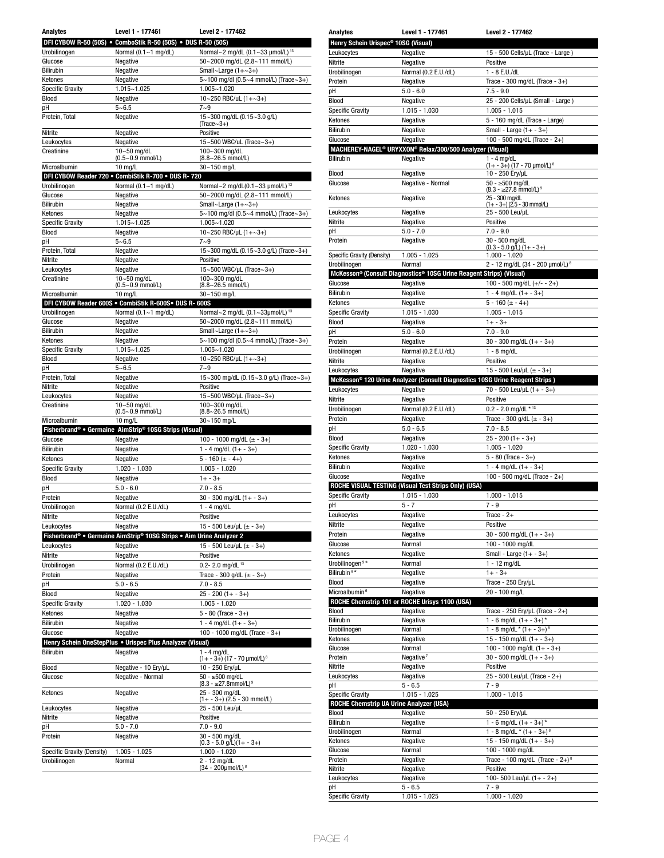| <b>Analytes</b>                            | Level 1 - 177461                                                               | Level 2 - 177462                                                              |  |
|--------------------------------------------|--------------------------------------------------------------------------------|-------------------------------------------------------------------------------|--|
|                                            | DFI CYBOW R-50 (50S) . ComboStik R-50 (50S) . DUS R-50 (50S)                   |                                                                               |  |
| Urobilinogen                               | Normal $(0.1 - 1$ mg/dL)                                                       | Normal~2 mg/dL (0.1~33 µmol/L) <sup>13</sup>                                  |  |
| Glucose                                    | Negative                                                                       | 50~2000 mg/dL (2.8~111 mmol/L)                                                |  |
| <b>Bilirubin</b>                           | Negative                                                                       | Small~Large $(1+-3+)$                                                         |  |
| Ketones                                    | Negative                                                                       | 5~100 mg/dl (0.5~4 mmol/L) (Trace~3+)                                         |  |
| <b>Specific Gravity</b>                    | $1.015 - 1.025$                                                                | 1.005~1.020                                                                   |  |
| Blood                                      | Negative                                                                       | 10~250 RBC/uL $(1+-3+)$                                                       |  |
| pH                                         | $5 - 6.5$                                                                      | $7 - 9$                                                                       |  |
| Protein, Total                             | Negative                                                                       | 15~300 mg/dL (0.15~3.0 g/L)                                                   |  |
| Nitrite                                    | Negative                                                                       | $(Trace-3+)$<br>Positive                                                      |  |
| Leukocytes                                 | Negative                                                                       | 15~500 WBC/uL (Trace~3+)                                                      |  |
| Creatinine                                 | $10 - 50$ mg/dL                                                                | 100~300 mg/dL                                                                 |  |
|                                            | $(0.5 - 0.9$ mmol/L)                                                           | $(8.8 - 26.5$ mmol/L)                                                         |  |
| Microalbumin                               | $10 \text{ mg/L}$                                                              | 30~150 mg/L                                                                   |  |
|                                            | DFI CYBOW Reader 720 . CombiStik R-700 . DUS R-720                             |                                                                               |  |
| Urobilinogen<br>Glucose                    | Normal (0.1~1 mg/dL)<br>Negative                                               | Normal~2 mg/dL(0.1~33 µmol/L) <sup>13</sup><br>50~2000 mg/dL (2.8~111 mmol/L) |  |
| Bilirubin                                  | Negative                                                                       | Small~Large $(1+-3+)$                                                         |  |
| Ketones                                    | Negative                                                                       | 5~100 mg/dl (0.5~4 mmol/L) (Trace~3+)                                         |  |
| <b>Specific Gravity</b>                    | 1.015~1.025                                                                    | 1.005~1.020                                                                   |  |
| Blood                                      | Negative                                                                       | 10~250 RBC/µL $(1+-3+)$                                                       |  |
| pH                                         | $5 - 6.5$                                                                      | $7 - 9$                                                                       |  |
| Protein, Total                             | Negative                                                                       | 15~300 mg/dL (0.15~3.0 g/L) (Trace~3+)                                        |  |
| Nitrite                                    | Negative                                                                       | Positive                                                                      |  |
| Leukocytes                                 | Negative                                                                       | 15~500 WBC/µL (Trace~3+)                                                      |  |
| Creatinine                                 | 10~50 mg/dL                                                                    | 100~300 mg/dL<br>(8.8~26.5 mmol/L)                                            |  |
| Microalbumin                               | $(0.5 - 0.9$ mmol/L)<br>$10 \text{ mg/L}$                                      | 30~150 mg/L                                                                   |  |
|                                            | DFI CYBOW Reader 600S . CombiStik R-600S. DUS R- 600S                          |                                                                               |  |
| Urobilinogen                               | Normal $(0.1 - 1$ mg/dL)                                                       | Normal~2 mg/dL (0.1~33µmol/L) <sup>13</sup>                                   |  |
| Glucose                                    | Negative                                                                       | 50~2000 mg/dL (2.8~111 mmol/L)                                                |  |
| Bilirubin                                  | Negative                                                                       | Small~Large $(1+-3+)$                                                         |  |
| Ketones                                    | Negative                                                                       | 5~100 mg/dl (0.5~4 mmol/L) (Trace~3+)                                         |  |
| <b>Specific Gravity</b>                    | 1.015~1.025                                                                    | 1.005~1.020                                                                   |  |
| Blood                                      | Negative                                                                       | 10~250 RBC/µL $(1+-3+)$                                                       |  |
| pH                                         | $5 - 6.5$                                                                      | $7 - 9$                                                                       |  |
| Protein, Total                             | Negative                                                                       | 15~300 mg/dL (0.15~3.0 g/L) (Trace~3+)                                        |  |
| Nitrite                                    | Negative                                                                       | Positive                                                                      |  |
| Leukocytes                                 | Negative                                                                       | 15~500 WBC/µL (Trace~3+)                                                      |  |
| Creatinine                                 | 10~50 mg/dL<br>(0.5~0.9 mmol/L)                                                | 100~300 mg/dL<br>(8.8~26.5 mmol/L)                                            |  |
| Microalbumin                               | $10$ mg/L                                                                      | 30~150 mg/L                                                                   |  |
|                                            | Fisherbrand <sup>®</sup> • Germaine AimStrip <sup>®</sup> 10SG Strips (Visual) |                                                                               |  |
| Glucose                                    | Negative                                                                       | 100 - 1000 mg/dL ( $\pm$ - 3+)                                                |  |
| <b>Bilirubin</b>                           | Negative                                                                       | $1 - 4$ mg/dL $(1 + -3 +)$                                                    |  |
| Ketones                                    | Negative                                                                       | $5 - 160 (+ - 4+)$                                                            |  |
| <b>Specific Gravity</b>                    | $1.020 - 1.030$                                                                | $1.005 - 1.020$                                                               |  |
| Blood                                      | Negative                                                                       | $1 + -3 +$                                                                    |  |
| рH                                         | $5.0 - 6.0$                                                                    | $7.0 - 8.5$                                                                   |  |
| Protein                                    | Negative                                                                       | $30 - 300$ mg/dL $(1 + - 3 +)$                                                |  |
| Urobilinogen                               | Normal (0.2 E.U./dL)                                                           | $1 - 4$ mg/dL                                                                 |  |
| Nitrite                                    | Negative                                                                       | Positive                                                                      |  |
| Leukocytes                                 | Negative                                                                       | 15 - 500 Leu/µL (± - 3+)                                                      |  |
|                                            | Fisherbrand® • Germaine AimStrip® 10SG Strips • Aim Urine Analyzer 2           |                                                                               |  |
| Leukocytes                                 | Negative                                                                       | 15 - 500 Leu/uL ( $\pm$ - 3+)                                                 |  |
| Nitrite                                    | Negative                                                                       | Positive                                                                      |  |
| Urobilinogen                               | Normal (0.2 E.U./dL)                                                           | 0.2- 2.0 mg/dL $13$                                                           |  |
| Protein                                    | Negative                                                                       | Trace - 300 g/dL $(\pm$ - 3+)                                                 |  |
| рH                                         | $5.0 - 6.5$<br>Negative                                                        | $7.0 - 8.5$                                                                   |  |
| Blood<br>Specific Gravity                  |                                                                                | $25 - 200(1 + - 3+)$                                                          |  |
|                                            |                                                                                |                                                                               |  |
| Ketones<br><b>Bilirubin</b>                | $1.020 - 1.030$                                                                | $1.005 - 1.020$                                                               |  |
|                                            | Negative                                                                       | $5 - 80$ (Trace $-3+$ )                                                       |  |
|                                            | Negative                                                                       | $1 - 4$ mg/dL $(1 + -3+)$                                                     |  |
| Glucose                                    | Negative                                                                       | 100 - 1000 mg/dL (Trace - 3+)                                                 |  |
|                                            | Henry Schein OneStepPlus . Urispec Plus Analyzer (Visual)                      |                                                                               |  |
| Bilirubin                                  | Negative                                                                       | $1 - 4$ mg/dL<br>$(1 + -3+)$ (17 - 70 µmol/L) <sup>8</sup>                    |  |
| Blood                                      | Negative - 10 Ery/µL                                                           | 10 - 250 Ery/µL                                                               |  |
| Glucose                                    | Negative - Normal                                                              | $50 - 500$ mg/dL                                                              |  |
|                                            |                                                                                | $(8.3 - 27.8$ mmol/L) <sup>9</sup>                                            |  |
| Ketones                                    | Negative                                                                       | 25 - 300 mg/dL<br>$(1 + -3+)$ $(2.5 - 30$ mmol/L)                             |  |
| Leukocytes                                 | Negative                                                                       | 25 - 500 Leu/µL                                                               |  |
| Nitrite                                    | Negative                                                                       | Positive                                                                      |  |
| рH                                         | $5.0 - 7.0$                                                                    | $7.0 - 9.0$                                                                   |  |
| Protein                                    | Negative                                                                       | 30 - 500 mg/dL                                                                |  |
|                                            |                                                                                | $(0.3 - 5.0 \text{ g/L})(1 + -3 +)$                                           |  |
| Specific Gravity (Density)<br>Urobilinogen | 1.005 - 1.025<br>Normal                                                        | 1.000 - 1.020<br>$2 - 12$ mg/dL                                               |  |

| <b>Analytes</b>                                 | Level 1 - 177461                                                                         | Level 2 - 177462                                           |
|-------------------------------------------------|------------------------------------------------------------------------------------------|------------------------------------------------------------|
| Henry Schein Urispec <sup>®</sup> 10SG (Visual) |                                                                                          |                                                            |
| Leukocytes                                      | Negative                                                                                 | 15 - 500 Cells/µL (Trace - Large)                          |
| Nitrite                                         | Negative                                                                                 | Positive                                                   |
| Urobilinogen                                    | Normal (0.2 E.U./dL)                                                                     | 1 - 8 E.U./dL                                              |
| Protein                                         | Negative                                                                                 | Trace - 300 mg/dL (Trace - $3+$ )                          |
| pH                                              | $5.0 - 6.0$                                                                              | $7.5 - 9.0$                                                |
| Blood                                           | Negative                                                                                 | 25 - 200 Cells/uL (Small - Large)                          |
| <b>Specific Gravity</b>                         | 1.015 - 1.030                                                                            | $1.005 - 1.015$                                            |
| Ketones                                         | Negative                                                                                 | 5 - 160 mg/dL (Trace - Large)                              |
| <b>Bilirubin</b>                                | Negative                                                                                 | Small - Large $(1 + -3+)$                                  |
| Glucose                                         | Negative                                                                                 | 100 - 500 mg/dL (Trace - 2+)                               |
|                                                 | MACHEREY-NAGEL <sup>®</sup> URYXXON® Relax/300/500 Analyzer (Visual)                     |                                                            |
| <b>Bilirubin</b>                                | Negative                                                                                 | $1 - 4$ mg/dL<br>$(1 + -3+)$ (17 - 70 µmol/L) <sup>8</sup> |
| Blood                                           | Negative                                                                                 | 10 - 250 Ery/µL                                            |
| Glucose                                         | Negative - Normal                                                                        | $50 - \ge 500$ mg/dL                                       |
|                                                 |                                                                                          | $(8.3 - 27.8$ mmol/L) <sup>9</sup>                         |
| Ketones                                         | Negative                                                                                 | 25 - 300 mg/dL<br>$(1 + -3 +)$ (2.5 - 30 mmol/L)           |
| Leukocytes                                      | Negative                                                                                 | 25 - 500 Leu/uL                                            |
| Nitrite                                         | Negative                                                                                 | Positive                                                   |
| рH                                              | $5.0 - 7.0$                                                                              | $7.0 - 9.0$                                                |
| Protein                                         | Negative                                                                                 | 30 - 500 mg/dL                                             |
| Specific Gravity (Density)                      | $1.005 - 1.025$                                                                          | $(0.3 - 5.0$ g/L) $(1 + -3+)$<br>1.000 - 1.020             |
| Urobilinogen                                    | Normal                                                                                   | 2 - 12 mg/dL (34 - 200 µmol/L) 8                           |
|                                                 | McKesson® (Consult Diagnostics® 10SG Urine Reagent Strips) (Visual)                      |                                                            |
| Glucose                                         | Negative                                                                                 | 100 - 500 mg/dL $(+/- - 2+)$                               |
| Bilirubin                                       | Negative                                                                                 | $1 - 4$ mg/dL $(1 + -3 +)$                                 |
| Ketones                                         | Negative                                                                                 | $5 - 160 (+ - 4+)$                                         |
| <b>Specific Gravity</b>                         | $1.015 - 1.030$                                                                          | $1.005 - 1.015$                                            |
| Blood                                           | Negative                                                                                 | $1 + - 3 +$                                                |
| рH                                              | $5.0 - 6.0$                                                                              | $7.0 - 9.0$                                                |
| Protein                                         | Negative                                                                                 | $30 - 300$ mg/dL $(1 + - 3 +)$                             |
| Urobilinogen                                    | Normal (0.2 E.U./dL)                                                                     | $1 - 8$ mg/dL                                              |
| Nitrite                                         | Negative                                                                                 | Positive                                                   |
| Leukocytes                                      | Negative                                                                                 | 15 - 500 Leu/µL ( $\pm$ - 3+)                              |
|                                                 | McKesson <sup>®</sup> 120 Urine Analyzer (Consult Diagnostics 10SG Urine Reagent Strips) |                                                            |
| Leukocytes                                      | Negative                                                                                 | 70 - 500 Leu/µL (1+ - 3+)                                  |
| Nitrite                                         | Negative                                                                                 | Positive                                                   |
| Urobilinogen                                    | Normal (0.2 E.U./dL)                                                                     | $0.2 - 2.0$ mg/dL * 13                                     |
|                                                 |                                                                                          |                                                            |
| Protein                                         | Negative                                                                                 | Trace - 300 g/dL $(\pm$ - 3+)                              |
| pH                                              | $5.0 - 6.5$                                                                              | $7.0 - 8.5$                                                |
| Blood                                           | Negative                                                                                 | $25 - 200(1 + - 3+)$                                       |
| <b>Specific Gravity</b>                         | 1.020 - 1.030                                                                            | $1.005 - 1.020$                                            |
| Ketones                                         | Negative                                                                                 | $5 - 80$ (Trace $-3+$ )                                    |
| Bilirubin                                       | Negative                                                                                 | $1 - 4$ mg/dL $(1 + -3 +)$                                 |
| Glucose                                         | Negative                                                                                 | 100 - 500 mg/dL (Trace - 2+)                               |
|                                                 | ROCHE VISUAL TESTING (Visual Test Strips Only) (USA)                                     |                                                            |
| <b>Specific Gravity</b>                         | $1.015 - 1.030$                                                                          | 1.000 - 1.015                                              |
| pH                                              | $5 - 7$                                                                                  | $7 - 9$                                                    |
| Leukocytes<br>Nitrite                           | Negative                                                                                 | Trace - $2+$<br>Positive                                   |
| Protein                                         | Negative<br>Negative                                                                     | $30 - 500$ mg/dL $(1 + -3+)$                               |
| Glucose                                         | Normal                                                                                   | 100 - 1000 mg/dL                                           |
| Ketones                                         | Negative                                                                                 | Small - Large $(1 + -3+)$                                  |
| Urobilinogen <sup>9*</sup>                      | Normal                                                                                   | $1 - 12$ mg/dL                                             |
| Bilirubin <sup>9*</sup>                         | Negative                                                                                 | $1 + -3 +$                                                 |
| Blood                                           | Negative                                                                                 | Trace - 250 Ery/µL                                         |
| Microalbumin <sup>6</sup>                       | Negative                                                                                 | 20 - 100 mg/L                                              |
|                                                 | ROCHE Chemstrip 101 or ROCHE Urisys 1100 (USA)                                           |                                                            |
| Blood                                           | Negative                                                                                 | Trace - 250 Ery/µL (Trace - 2+)                            |
| Bilirubin                                       | Negative                                                                                 | $1 - 6$ mg/dL $(1 + -3 +)^*$                               |
| Urobilinogen                                    | Normal                                                                                   | $1 - 8$ mg/dL * $(1 + -3 +)$ <sup>8</sup>                  |
| Ketones                                         | Negative                                                                                 | 15 - 150 mg/dL $(1 + -3+)$                                 |
| Glucose                                         | Normal                                                                                   | 100 - 1000 mg/dL $(1 + -3+)$                               |
| Protein                                         | Negative <sup>7</sup>                                                                    | $30 - 500$ mg/dL $(1 + -3 +)$                              |
| Nitrite<br>Leukocytes                           | Negative<br>Negative                                                                     | Positive<br>25 - 500 Leu/µL (Trace - 2+)                   |
| pH                                              | $5 - 6.5$                                                                                | 7 - 9                                                      |
| <b>Specific Gravity</b>                         | $1.015 - 1.025$                                                                          | $1.000 - 1.015$                                            |
| ROCHE Chemstrip UA Urine Analyzer (USA)         |                                                                                          |                                                            |
| Blood                                           | Negative                                                                                 | 50 - 250 Ery/uL                                            |
| Bilirubin                                       | Negative                                                                                 | 1 - 6 mg/dL $(1 + -3 +)^*$                                 |
| Urobilinogen                                    | Normal                                                                                   | 1 - 8 mg/dL * $(1 + -3 +)$ <sup>8</sup>                    |
| Ketones                                         | Negative                                                                                 | 15 - 150 mg/dL $(1 + -3+)$                                 |
| Glucose                                         | Normal                                                                                   | 100 - 1000 mg/dL                                           |
| Protein                                         | Negative                                                                                 | Trace - 100 mg/dL (Trace - $2+$ ) <sup>8</sup>             |
| Nitrite                                         | Negative                                                                                 | Positive                                                   |
| Leukocytes<br>pH                                | Negative<br>$5 - 6.5$                                                                    | 100-500 Leu/µL (1+ - 2+)<br>$7 - 9$                        |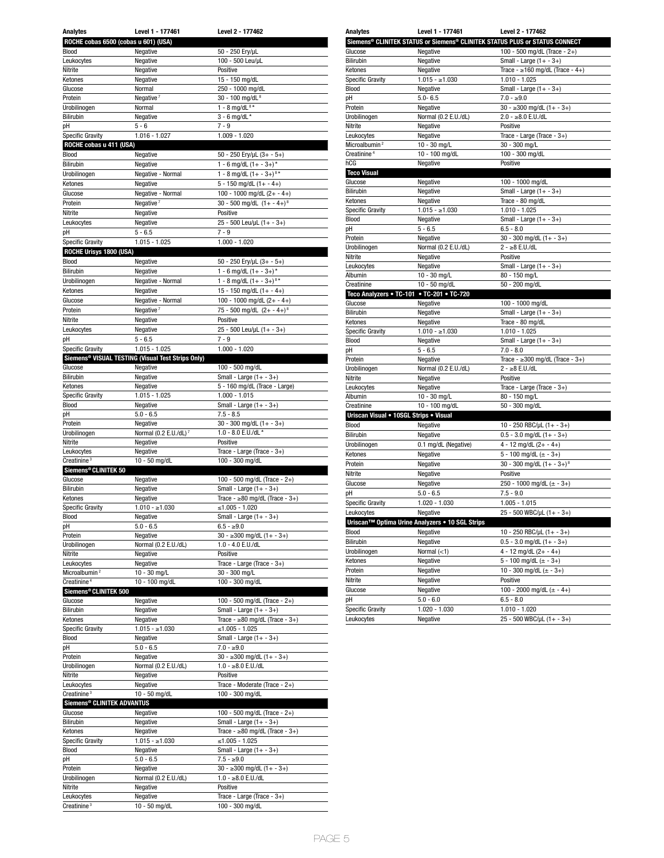| <b>Analytes</b>                                 | Level 1 - 177461                                              | Level 2 - 177462                                       |  |
|-------------------------------------------------|---------------------------------------------------------------|--------------------------------------------------------|--|
| ROCHE cobas 6500 (cobas u 601) (USA)            |                                                               |                                                        |  |
| Blood                                           | Negative                                                      | 50 - 250 Ery/µL                                        |  |
| Leukocytes                                      | Negative                                                      | 100 - 500 Leu/uL                                       |  |
| Nitrite                                         | Negative                                                      | Positive                                               |  |
| Ketones                                         | Negative                                                      | 15 - 150 mg/dL                                         |  |
| Glucose                                         | Normal                                                        | 250 - 1000 mg/dL                                       |  |
| Protein<br>Urobilinogen                         | Negative $7$<br>Normal                                        | 30 - 100 mg/dL <sup>8</sup><br>1 - 8 mg/dL $8*$        |  |
| Bilirubin                                       | Negative                                                      | $3 - 6$ mg/dL *                                        |  |
| рH                                              | $5 - 6$                                                       | $7 - 9$                                                |  |
| <b>Specific Gravity</b>                         | 1.016 - 1.027                                                 | 1.009 - 1.020                                          |  |
| ROCHE cobas u 411 (USA)                         |                                                               |                                                        |  |
| Blood                                           | Negative                                                      | 50 - 250 Ery/µL (3+ - 5+)                              |  |
| Bilirubin                                       | Negative                                                      | 1 - 6 mg/dL $(1 + -3 +)^*$                             |  |
| Urobilinogen                                    | Negative - Normal                                             | 1 - 8 mg/dL $(1 + -3 +)$ <sup>8*</sup>                 |  |
| Ketones                                         | Negative                                                      | $5 - 150$ mg/dL $(1 + - 4+)$                           |  |
| Glucose                                         | Negative - Normal                                             | 100 - 1000 mg/dL $(2 + - 4 +)$                         |  |
| Protein                                         | Negative <sup>7</sup>                                         | 30 - 500 mg/dL $(1 + -4 +)^8$                          |  |
| Nitrite                                         | Negative                                                      | Positive                                               |  |
| Leukocytes<br>рH                                | Negative<br>$5 - 6.5$                                         | $25 - 500$ Leu/µL $(1 + -3+)$<br>$7 - 9$               |  |
| <b>Specific Gravity</b>                         | $1.015 - 1.025$                                               | $1.000 - 1.020$                                        |  |
| ROCHE Urisys 1800 (USA)                         |                                                               |                                                        |  |
| Blood                                           | Negative                                                      | $50 - 250$ Ery/µL $(3 + -5+)$                          |  |
| <b>Bilirubin</b>                                | Negative                                                      | 1 - 6 mg/dL $(1 + -3 +)^*$                             |  |
| Urobilinogen                                    | Negative - Normal                                             | 1 - 8 mg/dL $(1 + -3 +)$ <sup>8*</sup>                 |  |
| Ketones                                         | Negative                                                      | 15 - 150 mg/dL $(1 + - 4 +)$                           |  |
| Glucose                                         | Negative - Normal                                             | 100 - 1000 mg/dL $(2 + - 4 +)$                         |  |
| Protein                                         | Negative <sup>7</sup>                                         | 75 - 500 mg/dL $(2 + -4 +)^8$                          |  |
| Nitrite                                         | Negative                                                      | Positive                                               |  |
| Leukocytes                                      | Negative                                                      | 25 - 500 Leu/µL (1+ - 3+)<br>$7 - 9$                   |  |
| рH                                              | $5 - 6.5$                                                     |                                                        |  |
| <b>Specific Gravity</b>                         | $1.015 - 1.025$                                               | $1.000 - 1.020$                                        |  |
|                                                 | Siemens <sup>®</sup> VISUAL TESTING (Visual Test Strips Only) |                                                        |  |
| Glucose<br>Bilirubin                            | Negative<br>Negative                                          | 100 - 500 mg/dL<br>Small - Large $(1 + -3+)$           |  |
| Ketones                                         | Negative                                                      | 5 - 160 mg/dL (Trace - Large)                          |  |
| <b>Specific Gravity</b>                         | $1.015 - 1.025$                                               | $1.000 - 1.015$                                        |  |
| Blood                                           | Negative                                                      | Small - Large $(1 + -3+)$                              |  |
| рH                                              | $5.0 - 6.5$                                                   | $7.5 - 8.5$                                            |  |
| Protein                                         | Negative                                                      | $30 - 300$ mg/dL $(1 + -3+)$                           |  |
| Urobilinogen                                    | Normal (0.2 E.U./dL) <sup>7</sup>                             | 1.0 - 8.0 E.U./dL *                                    |  |
| Nitrite                                         | Negative                                                      | Positive                                               |  |
| Leukocytes                                      | Negative                                                      | Trace - Large (Trace - 3+)                             |  |
| Creatinine <sup>3</sup><br>Siemens® CLINITEK 50 | 10 - 50 mg/dL                                                 | 100 - 300 mg/dL                                        |  |
| Glucose                                         | Negative                                                      | 100 - 500 mg/dL (Trace - 2+)                           |  |
| Bilirubin                                       | Negative                                                      | Small - Large $(1 + -3+)$                              |  |
| Ketones                                         | Negative                                                      | Trace - $\geq 80$ mg/dL (Trace - 3+)                   |  |
| <b>Specific Gravity</b>                         | $1.010 - \ge 1.030$                                           | ≤1.005 - 1.020                                         |  |
| Blood                                           | Negative                                                      | Small - Large $(1 + -3+)$                              |  |
| pH                                              | $5.0 - 6.5$                                                   | $6.5 - \ge 9.0$                                        |  |
| Protein                                         | Negative                                                      | $30 - 300$ mg/dL $(1 + -3)$                            |  |
| Urobilinogen                                    | Normal (0.2 E.U./dL)                                          | 1.0 - 4.0 E.U./dL<br>Positive                          |  |
| Nitrite<br>Leukocytes                           | Negative<br>Negative                                          | Trace - Large (Trace - 3+)                             |  |
| Microalbumin <sup>2</sup>                       | 10 - 30 mg/L                                                  | 30 - 300 mg/L                                          |  |
| Creatinine <sup>4</sup>                         | 10 - 100 mg/dL                                                | 100 - 300 mg/dL                                        |  |
| Siemens® CLINITEK 500                           |                                                               |                                                        |  |
| Glucose                                         | Negative                                                      | 100 - 500 mg/dL (Trace - 2+)                           |  |
| Bilirubin                                       | Negative                                                      | Small - Large $(1 + -3+)$                              |  |
| Ketones                                         | Negative                                                      | Trace - $\geq 80$ mg/dL (Trace - 3+)                   |  |
| <b>Specific Gravity</b>                         | $1.015 - \ge 1.030$                                           | ≤1.005 - 1.025                                         |  |
| Blood<br>рH                                     | Negative<br>$5.0 - 6.5$                                       | Small - Large $(1 + -3+)$<br>$7.0 - 29.0$              |  |
| Protein                                         | Negative                                                      | $\overline{30 - 300}$ mg/dL $(1 + -3+)$                |  |
| Urobilinogen                                    | Normal (0.2 E.U./dL)                                          | $1.0 - \ge 8.0$ E.U./dL                                |  |
| Nitrite                                         | Negative                                                      | Positive                                               |  |
| Leukocytes                                      | Negative                                                      | Trace - Moderate (Trace - 2+)                          |  |
| Creatinine <sup>3</sup>                         | 10 - 50 mg/dL                                                 | 100 - 300 mg/dL                                        |  |
| Siemens® CLINITEK ADVANTUS                      |                                                               |                                                        |  |
| Glucose                                         | Negative                                                      | 100 - 500 mg/dL (Trace - 2+)                           |  |
| Bilirubin                                       | Negative                                                      | Small - Large $(1 + -3+)$                              |  |
| Ketones<br><b>Specific Gravity</b>              | Negative<br>$1.015 - \ge 1.030$                               | Trace - $\geq 80$ mg/dL (Trace - 3+)<br>≤1.005 - 1.025 |  |
| Blood                                           | Negative                                                      | Small - Large $(1 + -3+)$                              |  |
| рH                                              | $5.0 - 6.5$                                                   | $7.5 - $9.0$                                           |  |
| Protein                                         | Negative                                                      | $30 - 300$ mg/dL $(1 + -3)$                            |  |
| Urobilinogen                                    | Normal (0.2 E.U./dL)                                          | $1.0 - \ge 8.0$ E.U./dL                                |  |
| Nitrite                                         | Negative                                                      | Positive                                               |  |
| Leukocytes                                      | Negative                                                      | Trace - Large (Trace - 3+)                             |  |
| Creatinine <sup>3</sup>                         | 10 - 50 mg/dL                                                 | 100 - 300 mg/dL                                        |  |

| <b>Analytes</b>                        | Level 1 - 177461                                | Level 2 - 177462                                                            |  |
|----------------------------------------|-------------------------------------------------|-----------------------------------------------------------------------------|--|
|                                        |                                                 | Siemens® CLINITEK STATUS or Siemens® CLINITEK STATUS PLUS or STATUS CONNECT |  |
| Glucose                                | Negative                                        | 100 - 500 mg/dL (Trace - 2+)                                                |  |
| <b>Bilirubin</b>                       | Negative                                        | Small - Large $(1 + -3+)$                                                   |  |
| Ketones                                | Negative                                        | Trace - $\geq 160$ mg/dL (Trace - 4+)                                       |  |
| <b>Specific Gravity</b>                | $1.015 - \ge 1.030$                             | $1.010 - 1.025$                                                             |  |
| Blood                                  | Negative                                        | Small - Large $(1 + -3+)$                                                   |  |
| pH                                     | $5.0 - 6.5$                                     |                                                                             |  |
| Protein                                | Negative                                        | $7.0 - \ge 9.0$                                                             |  |
|                                        |                                                 | $30 - \ge 300$ mg/dL $(1 + -3+)$                                            |  |
| Urobilinogen                           | Normal (0.2 E.U./dL)                            | $2.0 - \ge 8.0$ E.U./dL                                                     |  |
| Nitrite                                | Negative                                        | Positive                                                                    |  |
| Leukocytes                             | Negative                                        | Trace - Large (Trace - 3+)                                                  |  |
| Microalbumin <sup>2</sup>              | 10 - 30 mg/L                                    | 30 - 300 mg/L                                                               |  |
| Creatinine <sup>4</sup>                | 10 - 100 mg/dL                                  | 100 - 300 mg/dL                                                             |  |
| hCG                                    | Negative                                        | Positive                                                                    |  |
| <b>Teco Visual</b>                     |                                                 |                                                                             |  |
| Glucose                                | Negative                                        | 100 - 1000 mg/dL                                                            |  |
| <b>Bilirubin</b>                       | Negative                                        | Small - Large $(1 + -3+)$                                                   |  |
| Ketones                                | Negative                                        | Trace - 80 mg/dL                                                            |  |
| <b>Specific Gravity</b>                | $1.015 - \ge 1.030$                             | $1.010 - 1.025$                                                             |  |
| Blood                                  | Negative                                        | Small - Large $(1 + -3+)$                                                   |  |
| pH                                     | $5 - 6.5$                                       | $6.5 - 8.0$                                                                 |  |
| Protein                                | Negative                                        | $30 - 300$ mg/dL $(1 + - 3+)$                                               |  |
| Urobilinogen                           | Normal (0.2 E.U./dL)                            | $2 - \ge 8$ E.U./dL                                                         |  |
| Nitrite                                | Negative                                        | Positive                                                                    |  |
| Leukocytes                             | Negative                                        | Small - Large $(1 + -3+)$                                                   |  |
| Albumin                                | 10 - 30 mg/L                                    | 80 - 150 mg/L                                                               |  |
|                                        | 10 - 50 mg/dL                                   |                                                                             |  |
| Creatinine                             |                                                 | 50 - 200 mg/dL                                                              |  |
|                                        | Teco Analyzers . TC-101 . TC-201 . TC-720       |                                                                             |  |
| Glucose                                | Negative                                        | 100 - 1000 mg/dL                                                            |  |
| <b>Bilirubin</b>                       | Negative                                        | Small - Large $(1 + -3+)$                                                   |  |
| Ketones                                | Negative                                        | Trace - 80 mg/dL                                                            |  |
| <b>Specific Gravity</b>                | $1.010 - 1.030$                                 | $1.010 - 1.025$                                                             |  |
| Blood                                  | Negative                                        | Small - Large $(1 + -3+)$                                                   |  |
| pH                                     | $5 - 6.5$                                       | $7.0 - 8.0$                                                                 |  |
| Protein                                | Negative                                        | Trace - $\geq$ 300 mg/dL (Trace - 3+)                                       |  |
| Urobilinogen                           | Normal (0.2 E.U./dL)                            | $2 - \ge 8$ E.U./dL                                                         |  |
| Nitrite                                | Negative                                        | Positive                                                                    |  |
| Leukocytes                             | Negative                                        | Trace - Large (Trace - 3+)                                                  |  |
| Albumin                                | 10 - 30 mg/L                                    | 80 - 150 mg/L                                                               |  |
| Creatinine                             | 10 - 100 mg/dL                                  | 50 - 300 mg/dL                                                              |  |
| Uriscan Visual . 10SGL Strips . Visual |                                                 |                                                                             |  |
| Blood                                  | Negative                                        | 10 - 250 RBC/µL (1+ - 3+)                                                   |  |
| Bilirubin                              | Negative                                        | $0.5 - 3.0$ mg/dL $(1 + -3+)$                                               |  |
|                                        |                                                 |                                                                             |  |
| Urobilinogen                           | 0.1 mg/dL (Negative)                            | $4 - 12$ mg/dL $(2 + - 4 +)$                                                |  |
| Ketones                                | Negative                                        | 5 - 100 mg/dL $(\pm - 3+)$                                                  |  |
| Protein                                | Negative                                        | 30 - 300 mg/dL $(1 + -3 +)$ <sup>8</sup>                                    |  |
| Nitrite                                | Negative                                        | Positive                                                                    |  |
| Glucose                                | Negative                                        | 250 - 1000 mg/dL ( $\pm$ - 3+)                                              |  |
| рH                                     | $5.0 - 6.5$                                     | $7.5 - 9.0$                                                                 |  |
| <b>Specific Gravity</b>                | 1.020 - 1.030                                   | $1.005 - 1.015$                                                             |  |
| Leukocytes                             | Negative                                        | $25 - 500$ WBC/uL $(1 + -3 +)$                                              |  |
|                                        | Uriscan™ Optima Urine Analyzers • 10 SGL Strips |                                                                             |  |
| Blood                                  | Negative                                        | 10 - 250 RBC/µL $(1 + -3+)$                                                 |  |
| Bilirubin                              | Negative                                        | $0.5 - 3.0$ mg/dL $(1 + -3+)$                                               |  |
|                                        |                                                 |                                                                             |  |
| Urobilinogen                           | Normal $(<1)$                                   | $4 - 12$ mg/dL $(2 + - 4 +)$                                                |  |
| Ketones                                | Negative                                        | 5 - 100 mg/dL $(\pm - 3+)$                                                  |  |
| Protein                                | Negative                                        | 10 - 300 mg/dL $(\pm - 3 +)$                                                |  |
| Nitrite                                | Negative                                        | Positive                                                                    |  |
| Glucose                                | Negative                                        | 100 - 2000 mg/dL $(\pm$ - 4+)                                               |  |
| рH                                     | $5.0 - 6.0$                                     | $6.5 - 8.0$                                                                 |  |
| <b>Specific Gravity</b>                | $1.020 - 1.030$                                 | $1.010 - 1.020$                                                             |  |
| Leukocytes                             | Negative                                        | 25 - 500 WBC/µL (1+ - 3+)                                                   |  |
|                                        |                                                 |                                                                             |  |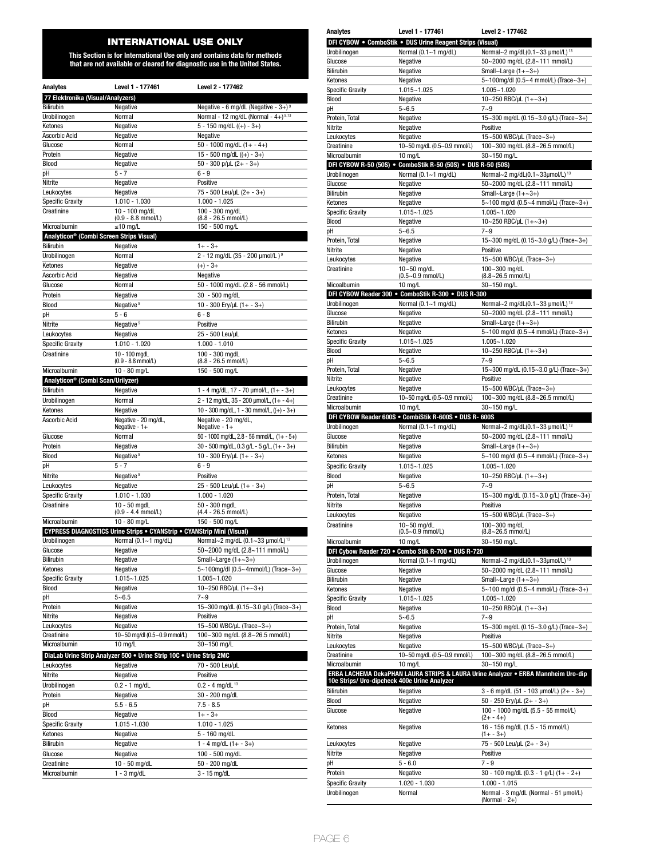# INTERNATIONAL USE ONLY

**This Section is for International Use only and contains data for methods that are not available or cleared for diagnostic use in the United States.**

| <b>Analytes</b>                                      | Level 1 - 177461                                                              | Level 2 - 177462                                  |  |  |
|------------------------------------------------------|-------------------------------------------------------------------------------|---------------------------------------------------|--|--|
| 77 Elektronika (Visual/Analyzers)                    |                                                                               |                                                   |  |  |
| <b>Bilirubin</b>                                     | Negative - 6 mg/dL (Negative - $3+$ ) <sup>9</sup><br>Negative                |                                                   |  |  |
| Urobilinogen                                         | Normal                                                                        | Normal - 12 mg/dL (Normal - 4+) $9,13$            |  |  |
| Ketones                                              | Negative                                                                      | $5 - 150$ mg/dL $((+) - 3+)$                      |  |  |
| Ascorbic Acid                                        | Negative                                                                      | Negative                                          |  |  |
| Glucose                                              | Normal                                                                        | $50 - 1000$ mg/dL $(1 + - 4)$                     |  |  |
| Protein                                              | Negative                                                                      | 15 - 500 mg/dL $((+)$ - 3+)                       |  |  |
| Blood                                                | Negative                                                                      | $50 - 300$ p/µL $(2 + -3+)$                       |  |  |
| рH                                                   | 5 - 7                                                                         | 6 - 9                                             |  |  |
| Nitrite                                              | Negative                                                                      | Positive                                          |  |  |
| Leukocytes                                           | Negative                                                                      | 75 - 500 Leu/µL (2+ - 3+)                         |  |  |
| <b>Specific Gravity</b>                              | 1.010 - 1.030                                                                 | $1.000 - 1.025$                                   |  |  |
| Creatinine                                           | 10 - 100 mg/dL<br>(0.9 - 8.8 mmol/L)                                          | 100 - 300 mg/dL<br>(8.8 - 26.5 mmol/L)            |  |  |
| Microalbumin                                         | $\leq 10$ ma/L                                                                | 150 - 500 mg/L                                    |  |  |
| Analyticon <sup>®</sup> (Combi Screen Strips Visual) |                                                                               |                                                   |  |  |
| <b>Bilirubin</b>                                     | Negative                                                                      | $1 + -3 +$                                        |  |  |
| Urobilinogen                                         | Normal                                                                        | 2 - 12 mg/dL (35 - 200 µmol/L) <sup>9</sup>       |  |  |
| Ketones                                              | Negative                                                                      | $(+) - 3+$                                        |  |  |
| Ascorbic Acid                                        | Negative                                                                      | Negative                                          |  |  |
| Glucose                                              | Normal                                                                        | 50 - 1000 mg/dL (2.8 - 56 mmol/L)                 |  |  |
| Protein                                              | Negative                                                                      | 30 - 500 mg/dL                                    |  |  |
| Blood                                                | Negative <sup>5</sup>                                                         | 10 - 300 Ery/uL (1+ - 3+)                         |  |  |
| pH                                                   | $5 - 6$                                                                       | $6 - 8$                                           |  |  |
| Nitrite                                              | Negative <sup>5</sup>                                                         | Positive                                          |  |  |
| Leukocytes                                           | Negative                                                                      | 25 - 500 Leu/uL                                   |  |  |
| <b>Specific Gravity</b>                              | 1.010 - 1.020                                                                 | $1.000 - 1.010$                                   |  |  |
| Creatinine                                           | 10 - 100 mgdL                                                                 | 100 - 300 mgdL                                    |  |  |
|                                                      | (0.9 - 8.8 mmol/L)                                                            | (8.8 - 26.5 mmol/L)                               |  |  |
| Microalbumin                                         | 10 - 80 mg/L                                                                  | 150 - 500 mg/L                                    |  |  |
| Analyticon <sup>®</sup> (Combi Scan/Urilyzer)        |                                                                               |                                                   |  |  |
| <b>Bilirubin</b>                                     | Negative                                                                      | 1 - 4 mg/dL, 17 - 70 $\mu$ mol/L, (1+ - 3+)       |  |  |
| Urobilinogen                                         | Normal                                                                        | 2 - 12 mg/dL, 35 - 200 µmol/L, (1+ - 4+)          |  |  |
| Ketones                                              | Negative                                                                      | 10 - 300 mg/dL, 1 - 30 mmol/L, ((+) - 3+)         |  |  |
| Ascorbic Acid                                        | Negative - 20 mg/dL,                                                          | Negative - 20 mg/dL,                              |  |  |
|                                                      | Negative - 1+                                                                 | Negative - $1+$                                   |  |  |
| Glucose                                              | Normal                                                                        | 50 - 1000 mg/dL, 2.8 - 56 mmol/L, $(1 + -5 +)$    |  |  |
| Protein                                              | Negative                                                                      | $30 - 500$ mg/dL, $0.3$ g/L - 5 g/L, $(1 + -3 +)$ |  |  |
| Blood                                                | Negative <sup>5</sup>                                                         | 10 - 300 Ery/µL (1+ - 3+)                         |  |  |
| pН                                                   | $5 - 7$                                                                       | 6 - 9                                             |  |  |
| Nitrite                                              | Negative <sup>5</sup>                                                         | Positive                                          |  |  |
| Leukocytes                                           | Negative                                                                      | $25 - 500$ Leu/µL $(1 + -3+)$                     |  |  |
| <b>Specific Gravity</b>                              | 1.010 - 1.030                                                                 | 1.000 - 1.020                                     |  |  |
| Creatinine                                           | $10 - 50$ mgdL<br>$(0.9 - 4.4$ mmol/L)                                        | 50 - 300 mgdL<br>(4.4 - 26.5 mmol/L)              |  |  |
| Microalbumin                                         | 10 - 80 mg/L                                                                  | 150 - 500 mg/L                                    |  |  |
|                                                      | <b>CYPRESS DIAGNOSTICS Urine Strips . CYANStrip . CYANStrip Mini (Visual)</b> |                                                   |  |  |
| Urobilinogen                                         | Normal (0.1~1 mg/dL)                                                          | Normal~2 mg/dL (0.1~33 µmol/L) <sup>13</sup>      |  |  |
| Glucose                                              | Negative                                                                      | 50~2000 mg/dL (2.8~111 mmol/L)                    |  |  |
| Bilirubin                                            | Negative                                                                      | Small~Large $(1+-3+)$                             |  |  |
| Ketones                                              | Negative                                                                      | 5~100mg/dl (0.5~4mmol/L) (Trace~3+)               |  |  |
| <b>Specific Gravity</b>                              | 1.015~1.025                                                                   | 1.005~1.020                                       |  |  |
| Blood                                                | Negative                                                                      | 10~250 RBC/µL (1+~3+)                             |  |  |
| рH                                                   | $5 - 6.5$                                                                     | $7 - 9$                                           |  |  |
| Protein                                              | Negative                                                                      | 15~300 mg/dL (0.15~3.0 g/L) (Trace~3+)            |  |  |
| Nitrite                                              | Negative                                                                      | Positive                                          |  |  |
| Leukocytes                                           | Negative                                                                      | 15~500 WBC/µL (Trace~3+)                          |  |  |
| Creatinine                                           | 10~50 mg/dl (0.5~0.9 mmol/L)                                                  | 100~300 mg/dL (8.8~26.5 mmol/L)                   |  |  |
| Microalbumin                                         | 10 ma/L                                                                       | 30~150 mg/L                                       |  |  |
|                                                      | DiaLab Urine Strip Analyzer 500 . Urine Strip 10C . Urine Strip 2MC           |                                                   |  |  |
| Leukocytes                                           | Negative                                                                      | 70 - 500 Leu/uL                                   |  |  |
| Nitrite                                              | Negative                                                                      | Positive                                          |  |  |
| Urobilinogen                                         | $0.2 - 1$ mg/dL                                                               | $0.2 - 4$ mg/dL <sup>13</sup>                     |  |  |
| Protein                                              | Negative                                                                      | 30 - 200 mg/dL                                    |  |  |
| рH                                                   | $5.5 - 6.5$                                                                   | $7.5 - 8.5$                                       |  |  |
| Blood                                                | Negative                                                                      | $1 + -3 +$                                        |  |  |
| <b>Specific Gravity</b>                              | 1.015 - 1.030                                                                 | 1.010 - 1.025                                     |  |  |
| Ketones                                              | Negative                                                                      | 5 - 160 mg/dL                                     |  |  |
| <b>Bilirubin</b>                                     | Negative                                                                      | 1 - 4 mg/dL $(1 + -3 +)$                          |  |  |
| Glucose                                              | Negative                                                                      | 100 - 500 mg/dL                                   |  |  |
| Creatinine                                           | 10 - 50 mg/dL                                                                 | 50 - 200 mg/dL                                    |  |  |
| Microalbumin                                         | $1 - 3$ mg/dL                                                                 | 3 - 15 mg/dL                                      |  |  |

| <b>Analytes</b>                              | Level 1 - 177461                                             | Level 2 - 177462                                                                  |  |  |
|----------------------------------------------|--------------------------------------------------------------|-----------------------------------------------------------------------------------|--|--|
|                                              | DFI CYBOW . ComboStik . DUS Urine Reagent Strips (Visual)    |                                                                                   |  |  |
| Urobilinogen                                 | Normal $(0.1 - 1$ mg/dL)                                     | Normal~2 mg/dL(0.1~33 µmol/L) <sup>13</sup>                                       |  |  |
| Glucose                                      | Negative                                                     | 50~2000 mg/dL (2.8~111 mmol/L)                                                    |  |  |
| Bilirubin                                    | Negative                                                     | Small~Large $(1+-3+)$<br>5~100mg/dl (0.5~4 mmol/L) (Trace~3+)                     |  |  |
| Ketones<br><b>Specific Gravity</b>           | Negative<br>$1.015 - 1.025$                                  | $1.005 - 1.020$                                                                   |  |  |
| Blood                                        | Negative                                                     | 10~250 RBC/µL (1+~3+)                                                             |  |  |
| pH                                           | $5 - 6.5$                                                    | $7 - 9$                                                                           |  |  |
| Protein, Total                               | Negative                                                     | 15~300 mg/dL (0.15~3.0 g/L) (Trace~3+)                                            |  |  |
| Nitrite                                      | Negative                                                     | Positive                                                                          |  |  |
| Leukocytes                                   | Negative                                                     | 15~500 WBC/µL (Trace~3+)                                                          |  |  |
| Creatinine                                   | 10~50 mg/dL (0.5~0.9 mmol/L)                                 | 100~300 mg/dL (8.8~26.5 mmol/L)                                                   |  |  |
| Microalbumin                                 | $10 \text{ ma/L}$                                            | 30~150 mg/L                                                                       |  |  |
|                                              | DFI CYBOW R-50 (50S) . ComboStik R-50 (50S) . DUS R-50 (50S) |                                                                                   |  |  |
| Urobilinogen<br>Glucose                      | Normal $(0.1 - 1$ mg/dL)<br>Negative                         | Normal~2 mg/dL(0.1~33µmol/L) <sup>13</sup><br>50~2000 mg/dL (2.8~111 mmol/L)      |  |  |
| Bilirubin                                    | Negative                                                     | Small~Large $(1+-3+)$                                                             |  |  |
| Ketones                                      | Negative                                                     | 5~100 mg/dl (0.5~4 mmol/L) (Trace~3+)                                             |  |  |
| <b>Specific Gravity</b>                      | 1.015~1.025                                                  | $1.005 - 1.020$                                                                   |  |  |
| Blood                                        | Negative                                                     | 10~250 RBC/µL $(1+-3+)$                                                           |  |  |
| pH                                           | $5 - 6.5$                                                    | $7 - 9$                                                                           |  |  |
| Protein, Total                               | Negative                                                     | 15~300 mg/dL (0.15~3.0 g/L) (Trace~3+)                                            |  |  |
| Nitrite                                      | Negative                                                     | Positive                                                                          |  |  |
| Leukocytes                                   | Negative                                                     | 15~500 WBC/µL (Trace~3+)                                                          |  |  |
| Creatinine                                   | 10~50 mg/dL<br>$(0.5 - 0.9$ mmol/L)                          | 100~300 mg/dL<br>$(8.8 - 26.5$ mmol/L)                                            |  |  |
| Micoalbumin                                  | $10 \text{ mg/L}$                                            | 30~150 mg/L                                                                       |  |  |
|                                              | DFI CYBOW Reader 300 . ComboStik R-300 . DUS R-300           |                                                                                   |  |  |
| Urobilinogen                                 | Normal $(0.1 - 1$ mg/dL)                                     | Normal~2 mg/dL(0.1~33 µmol/L) <sup>13</sup>                                       |  |  |
| Glucose                                      | Negative                                                     | 50~2000 mg/dL (2.8~111 mmol/L)                                                    |  |  |
| Bilirubin                                    | Negative                                                     | Small~Large $(1+-3+)$                                                             |  |  |
| Ketones                                      | Negative                                                     | 5~100 mg/dl (0.5~4 mmol/L) (Trace~3+)                                             |  |  |
| <b>Specific Gravity</b>                      | $1.015 - 1.025$                                              | $1.005 - 1.020$                                                                   |  |  |
| Blood                                        | Negative                                                     | 10~250 RBC/µL (1+~3+)                                                             |  |  |
| рH                                           | $5 - 6.5$                                                    | $7 - 9$                                                                           |  |  |
| Protein, Total                               | Negative                                                     | 15~300 mg/dL (0.15~3.0 g/L) (Trace~3+)                                            |  |  |
| Nitrite<br>Leukocytes                        | Negative<br>Negative                                         | Positive<br>15~500 WBC/µL (Trace~3+)                                              |  |  |
| Creatinine                                   | 10~50 mg/dL (0.5~0.9 mmol/L)                                 | 100~300 mg/dL (8.8~26.5 mmol/L)                                                   |  |  |
| Microalbumin                                 | $10$ mg/L                                                    | 30~150 mg/L                                                                       |  |  |
|                                              | DFI CYBOW Reader 600S . CombiStik R-600S . DUS R- 600S       |                                                                                   |  |  |
| Urobilinogen                                 | Normal (0.1~1 mg/dL)                                         | Normal~2 mg/dL(0.1~33 µmol/L) <sup>13</sup>                                       |  |  |
| Glucose                                      | Negative                                                     | 50~2000 mg/dL (2.8~111 mmol/L)                                                    |  |  |
| <b>Bilirubin</b>                             | Negative                                                     | Small~Large $(1+-3+)$                                                             |  |  |
| Ketones                                      | Negative                                                     | 5~100 mg/dl (0.5~4 mmol/L) (Trace~3+)                                             |  |  |
| <b>Specific Gravity</b>                      | $1.015 - 1.025$                                              | $1.005 - 1.020$                                                                   |  |  |
| Blood                                        | Negative                                                     | 10~250 RBC/µL (1+~3+)                                                             |  |  |
| рH                                           | $5 - 6.5$                                                    | $7 - 9$                                                                           |  |  |
| Protein, Total                               | Negative                                                     | 15~300 mg/dL (0.15~3.0 g/L) (Trace~3+)                                            |  |  |
| Nitrite                                      | Negative                                                     | Positive                                                                          |  |  |
| Leukocytes                                   | negative                                                     | 15~500 WBC/µL (Trace~3+)                                                          |  |  |
| Creatinine                                   | 10~50 mg/dL<br>$(0.5 - 0.9$ mmol/L)                          | 100~300 mg/dL<br>$(8.8 - 26.5$ mmol/L)                                            |  |  |
| Microalbumin                                 | 10 mg/L                                                      | 30~150 mg/L                                                                       |  |  |
|                                              | DFI Cybow Reader 720 . Combo Stik R-700 . DUS R-720          |                                                                                   |  |  |
| Urobilinogen                                 | Normal (0.1~1 mg/dL)                                         | Normal~2 mg/dL(0.1~33µmol/L) <sup>13</sup>                                        |  |  |
| Glucose                                      | Negative                                                     | 50~2000 mg/dL (2.8~111 mmol/L)                                                    |  |  |
| Bilirubin                                    | Negative                                                     | Small~Large $(1+-3+)$                                                             |  |  |
| Ketones                                      | Negative                                                     | 5~100 mg/dl (0.5~4 mmol/L) (Trace~3+)                                             |  |  |
| <b>Specific Gravity</b>                      | 1.015~1.025                                                  | $1.005 - 1.020$                                                                   |  |  |
| Blood                                        | Negative                                                     | 10~250 RBC/µL $(1+-3+)$                                                           |  |  |
| рH                                           | $5 - 6.5$                                                    | $7 - 9$                                                                           |  |  |
| Protein, Total                               | Negative                                                     | 15~300 mg/dL (0.15~3.0 g/L) (Trace~3+)                                            |  |  |
| Nitrite                                      | Negative<br>Negative                                         | Positive<br>15~500 WBC/µL (Trace~3+)                                              |  |  |
| Leukocytes<br>Creatinine                     | 10~50 mg/dL (0.5~0.9 mmol/L)                                 | 100~300 mg/dL (8.8~26.5 mmol/L)                                                   |  |  |
| Microalbumin                                 | $10$ mg/L                                                    | 30~150 mg/L                                                                       |  |  |
|                                              |                                                              | ERBA LACHEMA DekaPHAN LAURA STRIPS & LAURA Urine Analyzer • ERBA Mannheim Uro-dip |  |  |
| 10e Strips/ Uro-dipcheck 400e Urine Analyzer |                                                              |                                                                                   |  |  |
| Bilirubin                                    | Negative                                                     | 3 - 6 mg/dL (51 - 103 µmol/L) (2+ - 3+)                                           |  |  |
| Blood<br>Glucose                             | Negative<br>Negative                                         | 50 - 250 Ery/uL (2+ - 3+)<br>100 - 1000 mg/dL (5.5 - 55 mmol/L)                   |  |  |
| Ketones                                      | Negative                                                     | $(2 + - 4 +)$<br>16 - 156 mg/dL (1.5 - 15 mmol/L)                                 |  |  |
|                                              |                                                              | $(1 + -3 +)$                                                                      |  |  |
| Leukocytes                                   | Negative                                                     | 75 - 500 Leu/µL (2+ - 3+)                                                         |  |  |
| Nitrite                                      | Negative                                                     | Positive                                                                          |  |  |
| рH                                           | $5 - 6.0$                                                    | $7 - 9$                                                                           |  |  |
| Protein<br><b>Specific Gravity</b>           | Negative<br>1.020 - 1.030                                    | 30 - 100 mg/dL (0.3 - 1 g/L) (1+ - 2+)<br>$1.000 - 1.015$                         |  |  |
| Urobilinogen                                 | Normal                                                       | Normal - 3 mg/dL (Normal - 51 µmol/L)<br>(Normal - $2+$ )                         |  |  |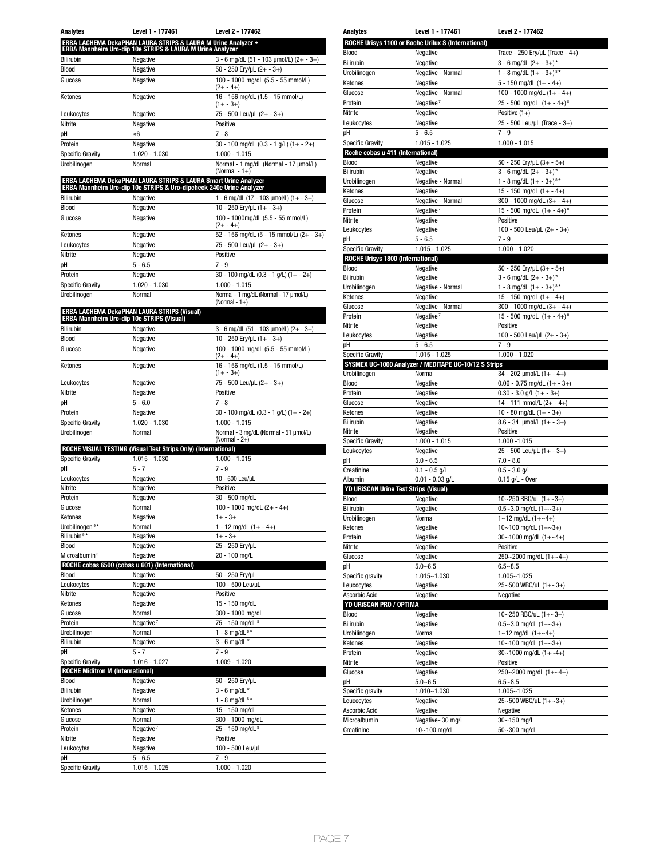| Analytes                                | Level 1 - 177461                                                                                                                       | Level 2 - 177462                                          |  |
|-----------------------------------------|----------------------------------------------------------------------------------------------------------------------------------------|-----------------------------------------------------------|--|
|                                         | ERBA LACHEMA DekaPHAN LAURA STRIPS & LAURA M Urine Analyzer •<br>ERBA Mannheim Uro-dip 10e STRIPS & LAURA M Urine Analyzer             |                                                           |  |
| <b>Bilirubin</b>                        | Negative                                                                                                                               | 3 - 6 mg/dL (51 - 103 µmol/L) (2+ - 3+)                   |  |
| Blood                                   | Negative                                                                                                                               | $50 - 250$ Ery/µL $(2 + -3+)$                             |  |
| Glucose                                 | Negative                                                                                                                               | 100 - 1000 mg/dL (5.5 - 55 mmol/L)                        |  |
| Ketones                                 | Negative                                                                                                                               | $(2 + - 4 +)$<br>16 - 156 mg/dL (1.5 - 15 mmol/L)         |  |
|                                         |                                                                                                                                        | $(1 + -3 +)$                                              |  |
| Leukocytes                              | Negative                                                                                                                               | 75 - 500 Leu/µL (2+ - 3+)                                 |  |
| Nitrite                                 | Negative                                                                                                                               | Positive                                                  |  |
| рH                                      | ≤6                                                                                                                                     | $7 - 8$                                                   |  |
| Protein                                 | Negative                                                                                                                               | 30 - 100 mg/dL (0.3 - 1 g/L) (1+ - 2+)<br>$1.000 - 1.015$ |  |
| <b>Specific Gravity</b><br>Urobilinogen | 1.020 - 1.030<br>Normal                                                                                                                | Normal - 1 mg/dL (Normal - 17 µmol/L)                     |  |
|                                         |                                                                                                                                        | (Normal - $1+$ )                                          |  |
|                                         | ERBA LACHEMA DekaPHAN LAURA STRIPS & LAURA Smart Urine Analyzer<br>ERBA Mannheim Uro-dip 10e STRIPS & Uro-dipcheck 240e Urine Analyzer |                                                           |  |
| <b>Bilirubin</b>                        | Negative                                                                                                                               | 1 - 6 mg/dL (17 - 103 µmol/L) (1+ - 3+)                   |  |
| Blood                                   | Negative                                                                                                                               | 10 - 250 Ery/µL (1+ - 3+)                                 |  |
| Glucose                                 | Negative                                                                                                                               | 100 - 1000mg/dL (5.5 - 55 mmol/L)                         |  |
| Ketones                                 | Negative                                                                                                                               | $(2 + - 4 +)$<br>52 - 156 mg/dL (5 - 15 mmol/L) (2+ - 3+) |  |
| Leukocytes                              | Negative                                                                                                                               | 75 - 500 Leu/uL (2+ - 3+)                                 |  |
| Nitrite                                 | Negative                                                                                                                               | Positive                                                  |  |
| рH                                      | $5 - 6.5$                                                                                                                              | $7 - 9$                                                   |  |
| Protein                                 | Negative                                                                                                                               | 30 - 100 mg/dL (0.3 - 1 g/L) (1+ - 2+)                    |  |
| <b>Specific Gravity</b>                 | 1.020 - 1.030                                                                                                                          | $1.000 - 1.015$                                           |  |
| Urobilinogen                            | Normal                                                                                                                                 | Normal - 1 mg/dL (Normal - 17 µmol/L)                     |  |
|                                         |                                                                                                                                        | (Normal - $1+$ )                                          |  |
|                                         | <b>ERBA LACHEMA DekaPHAN LAURA STRIPS (Visual)</b><br><b>ERBA Mannheim Uro-dip 10e STRIPS (Visual)</b>                                 |                                                           |  |
| <b>Bilirubin</b>                        | Negative                                                                                                                               | $3 - 6$ mg/dL (51 - 103 µmol/L) (2+ - 3+)                 |  |
| <b>Blood</b>                            | Negative                                                                                                                               | 10 - 250 Ery/uL $(1 + -3 +)$                              |  |
| Glucose                                 | Negative                                                                                                                               | 100 - 1000 mg/dL (5.5 - 55 mmol/L)                        |  |
| Ketones                                 | Negative                                                                                                                               | $(2 + - 4 +)$<br>16 - 156 mg/dL (1.5 - 15 mmol/L)         |  |
|                                         |                                                                                                                                        | $(1 + -3 +)$                                              |  |
| Leukocytes                              | Negative                                                                                                                               | 75 - 500 Leu/µL (2+ - 3+)                                 |  |
| Nitrite<br>рH                           | Negative<br>$5 - 6.0$                                                                                                                  | Positive<br>7 - 8                                         |  |
| Protein                                 | Negative                                                                                                                               | $30 - 100$ mg/dL (0.3 - 1 g/L) (1+ - 2+)                  |  |
| <b>Specific Gravity</b>                 | 1.020 - 1.030                                                                                                                          | 1.000 - 1.015                                             |  |
| Urobilinogen                            | Normal                                                                                                                                 | Normal - 3 mg/dL (Normal - 51 µmol/L)                     |  |
|                                         |                                                                                                                                        | (Normal - 2+)                                             |  |
| <b>Specific Gravity</b>                 | ROCHE VISUAL TESTING (Visual Test Strips Only) (International)<br>1.015 - 1.030                                                        | 1.000 - 1.015                                             |  |
| рH                                      | $5 - 7$                                                                                                                                | $7 - 9$                                                   |  |
| Leukocytes                              | Negative                                                                                                                               | 10 - 500 Leu/uL                                           |  |
| Nitrite                                 | Negative                                                                                                                               | Positive                                                  |  |
| Protein                                 | Negative                                                                                                                               | 30 - 500 mg/dL                                            |  |
| Glucose                                 | Normal                                                                                                                                 | 100 - 1000 mg/dL $(2 + - 4 +)$                            |  |
| Ketones                                 | Negative                                                                                                                               | $1 + -3 +$                                                |  |
| Urobilinogen <sup>9*</sup>              | Normal                                                                                                                                 | 1 - 12 mg/dL $(1 + - 4+)$                                 |  |
| Bilirubin <sup>9*</sup>                 | Negative                                                                                                                               | $1 + -3 +$                                                |  |
| Blood<br>Microalbumin <sup>6</sup>      | Negative<br>Negative                                                                                                                   | 25 - 250 Ery/µL<br>20 - 100 mg/L                          |  |
|                                         | ROCHE cobas 6500 (cobas u 601) (International)                                                                                         |                                                           |  |
| Blood                                   | Negative                                                                                                                               | 50 - 250 Ery/µL                                           |  |
| Leukocytes                              | Negative                                                                                                                               | 100 - 500 Leu/µL                                          |  |
| Nitrite                                 | Negative                                                                                                                               | Positive                                                  |  |
| Ketones                                 | Negative                                                                                                                               | 15 - 150 mg/dL                                            |  |
| Glucose                                 | Normal                                                                                                                                 | 300 - 1000 mg/dL                                          |  |
| Protein                                 | Negative <sup>7</sup>                                                                                                                  | 75 - 150 mg/dL <sup>8</sup>                               |  |
| Urobilinogen                            | Normal                                                                                                                                 | 1 - 8 mg/dL $8*$                                          |  |
| Bilirubin                               | Negative                                                                                                                               | $3 - 6$ mg/dL *                                           |  |
| рH<br><b>Specific Gravity</b>           | $5 - 7$<br>1.016 - 1.027                                                                                                               | $7 - 9$<br>$1.009 - 1.020$                                |  |
| <b>ROCHE Miditron M (International)</b> |                                                                                                                                        |                                                           |  |
| Blood                                   | Negative                                                                                                                               | 50 - 250 Ery/µL                                           |  |
| Bilirubin                               | Negative                                                                                                                               | $3 - 6$ mg/dL $*$                                         |  |
| Urobilinogen                            | Normal                                                                                                                                 | 1 - 8 mg/dL $8*$                                          |  |
| Ketones                                 | Negative                                                                                                                               | 15 - 150 mg/dL                                            |  |
| Glucose                                 | Normal                                                                                                                                 | 300 - 1000 mg/dL                                          |  |
| Protein                                 | Negative <sup>7</sup>                                                                                                                  | 25 - 150 mg/dL <sup>8</sup>                               |  |
| Nitrite                                 | Negative                                                                                                                               | Positive                                                  |  |
| Leukocytes                              | Negative                                                                                                                               | 100 - 500 Leu/µL                                          |  |
| рH<br><b>Specific Gravity</b>           | $5 - 6.5$<br>1.015 - 1.025                                                                                                             | $7 - 9$<br>$1.000 - 1.020$                                |  |
|                                         |                                                                                                                                        |                                                           |  |

| <b>Analytes</b>                                               | Level 1 - 177461                                     | Level 2 - 177462                         |  |
|---------------------------------------------------------------|------------------------------------------------------|------------------------------------------|--|
|                                                               | ROCHE Urisys 1100 or Roche Urilux S (International)  |                                          |  |
| Blood                                                         | Negative                                             | Trace - 250 Ery/ $\mu$ L (Trace - 4+)    |  |
| Bilirubin                                                     | Negative                                             | $3 - 6$ mg/dL $(2 + -3 +)^*$             |  |
| Urobilinogen                                                  | Negative - Normal                                    | 1 - 8 mg/dL $(1 + -3 +)^{8*}$            |  |
| Ketones                                                       | Negative                                             | $5 - 150$ mg/dL $(1 + - 4+)$             |  |
| Glucose                                                       | Negative - Normal                                    | 100 - 1000 mg/dL $(1 + - 4 +)$           |  |
| Protein                                                       | Negative <sup>7</sup>                                | 25 - 500 mg/dL $(1 + -4 +)^8$            |  |
| Nitrite                                                       | Negative                                             | Positive $(1+)$                          |  |
| Leukocytes                                                    | Negative                                             | 25 - 500 Leu/µL (Trace - 3+)<br>$7 - 9$  |  |
| рH<br><b>Specific Gravity</b>                                 | $5 - 6.5$<br>$1.015 - 1.025$                         | $1.000 - 1.015$                          |  |
|                                                               |                                                      |                                          |  |
| Roche cobas u 411 (International)<br>Negative<br><b>Blood</b> |                                                      | 50 - 250 Ery/µL $(3 + -5 +)$             |  |
| Bilirubin                                                     | Negative                                             | $3 - 6$ mg/dL $(2 + -3 +)^*$             |  |
| Urobilinogen                                                  | Negative - Normal                                    | 1 - 8 mg/dL $(1 + -3 +)^{8*}$            |  |
| Ketones                                                       | Negative                                             | 15 - 150 mg/dL $(1 + - 4 +)$             |  |
| Glucose                                                       | Negative - Normal                                    | 300 - 1000 mg/dL $(3 + - 4 +)$           |  |
| Protein                                                       | Negative <sup>7</sup>                                | 15 - 500 mg/dL $(1 + -4 +)^8$            |  |
| Nitrite                                                       | Negative                                             | Positive                                 |  |
| Leukocytes<br>рH                                              | Negative<br>$5 - 6.5$                                | 100 - 500 Leu/µL (2+ - 3+)<br>$7 - 9$    |  |
| Specific Gravity                                              | $1.015 - 1.025$                                      | $1.000 - 1.020$                          |  |
| ROCHE Urisys 1800 (International)                             |                                                      |                                          |  |
| Blood                                                         | Negative                                             | 50 - 250 Ery/µL (3+ - 5+)                |  |
| Bilirubin                                                     | Negative                                             | $3 - 6$ mg/dL $(2 + -3 +)^*$             |  |
| Urobilinogen                                                  | Negative - Normal                                    | 1 - 8 mg/dL $(1 + -3 +)$ <sup>8*</sup>   |  |
| Ketones                                                       | Negative                                             | 15 - 150 mg/dL $(1 + - 4 +)$             |  |
| Glucose                                                       | Negative - Normal                                    | $300 - 1000$ mg/dL $(3 + - 4)$           |  |
| Protein                                                       | Negative <sup>7</sup>                                | 15 - 500 mg/dL $(1 + -4 +)$ <sup>8</sup> |  |
| Nitrite                                                       | Negative                                             | Positive                                 |  |
| Leukocytes                                                    | Negative<br>$5 - 6.5$                                | 100 - 500 Leu/µL (2+ - 3+)<br>$7 - 9$    |  |
| рH<br><b>Specific Gravity</b>                                 | $1.015 - 1.025$                                      | $1.000 - 1.020$                          |  |
|                                                               | SYSMEX UC-1000 Analyzer / MEDITAPE UC-10/12 S Strips |                                          |  |
| Urobilinogen                                                  | Normal                                               | $34 - 202$ µmol/L $(1 + - 4+)$           |  |
| Blood                                                         | Negative                                             | $0.06 - 0.75$ mg/dL $(1 + -3+)$          |  |
|                                                               |                                                      |                                          |  |
| Protein                                                       | Negative                                             | $0.30 - 3.0$ g/L $(1 + -3+)$             |  |
| Glucose                                                       | Negative                                             | 14 - 111 mmol/L $(2 + - 4 +)$            |  |
| Ketones                                                       | Negative                                             | 10 - 80 mg/dL $(1 + -3+)$                |  |
| Bilirubin                                                     | Negative                                             | $8.6 - 34$ µmol/L $(1 + -3+)$            |  |
| Nitrite                                                       | Negative                                             | Positive                                 |  |
| <b>Specific Gravity</b>                                       | $1.000 - 1.015$                                      | 1.000 -1.015                             |  |
| Leukocytes                                                    | Negative                                             | 25 - 500 Leu/µL (1+ - 3+)                |  |
| рH<br>Creatinine                                              | $5.0 - 6.5$<br>$0.1 - 0.5$ g/L                       | $7.0 - 8.0$<br>$0.5 - 3.0$ g/L           |  |
| Albumin                                                       | $0.01 - 0.03$ g/L                                    |                                          |  |
| YD URISCAN Urine Test Strips (Visual)                         |                                                      | $0.15$ g/L - Over                        |  |
| <b>Blood</b>                                                  | Negative                                             | 10~250 RBC/uL $(1+-3+)$                  |  |
| Bilirubin                                                     | Negative                                             | $0.5 - 3.0$ mg/dL $(1 + -3+)$            |  |
| Urobilinogen                                                  | Normal                                               | $1 - 12$ mg/dL $(1 + -4)$                |  |
| Ketones                                                       | Negative                                             | 10~100 mg/dL $(1 + \sim 3 +)$            |  |
| Protein                                                       | Negative                                             | 30~1000 mg/dL $(1+-4+)$                  |  |
| Nitrite                                                       | Negative                                             | Positive                                 |  |
| Glucose                                                       | Negative                                             | 250~2000 mg/dL $(1 + ~4 +)$              |  |
| рH<br>Specific gravity                                        | $5.0 - 6.5$<br>$1.015 - 1.030$                       | $6.5 - 8.5$<br>$1.005 - 1.025$           |  |
| Leucocytes                                                    | Negative                                             | 25~500 WBC/uL (1+~3+)                    |  |
| Ascorbic Acid                                                 | Negative                                             | Negative                                 |  |
| YD URISCAN PRO / OPTIMA                                       |                                                      |                                          |  |
| Blood                                                         | Negative                                             | 10~250 RBC/uL (1+~3+)                    |  |
| Bilirubin                                                     | Negative                                             | $0.5 - 3.0$ mg/dL $(1 + -3 +)$           |  |
| Urobilinogen                                                  | Normal                                               | $1 - 12$ mg/dL $(1 + -4)$                |  |
| Ketones                                                       | Negative                                             | 10~100 mg/dL $(1 + ~3 +)$                |  |
| Protein                                                       | Negative                                             | $30~1000$ mg/dL $(1 + ~4)$               |  |
| Nitrite                                                       | Negative                                             | Positive                                 |  |
| Glucose                                                       | Negative                                             | $250 - 2000$ mg/dL $(1 + -4)$            |  |
| рH<br>Specific gravity                                        | $5.0 - 6.5$<br>1.010~1.030                           | $6.5 - 8.5$<br>$1.005 - 1.025$           |  |
| Leucocytes                                                    | Negative                                             | 25~500 WBC/uL (1+~3+)                    |  |
| Ascorbic Acid                                                 | Negative                                             | Negative                                 |  |
| Microalbumin                                                  | Negative~30 mg/L<br>10~100 mg/dL                     | 30~150 mg/L<br>50~300 mg/dL              |  |